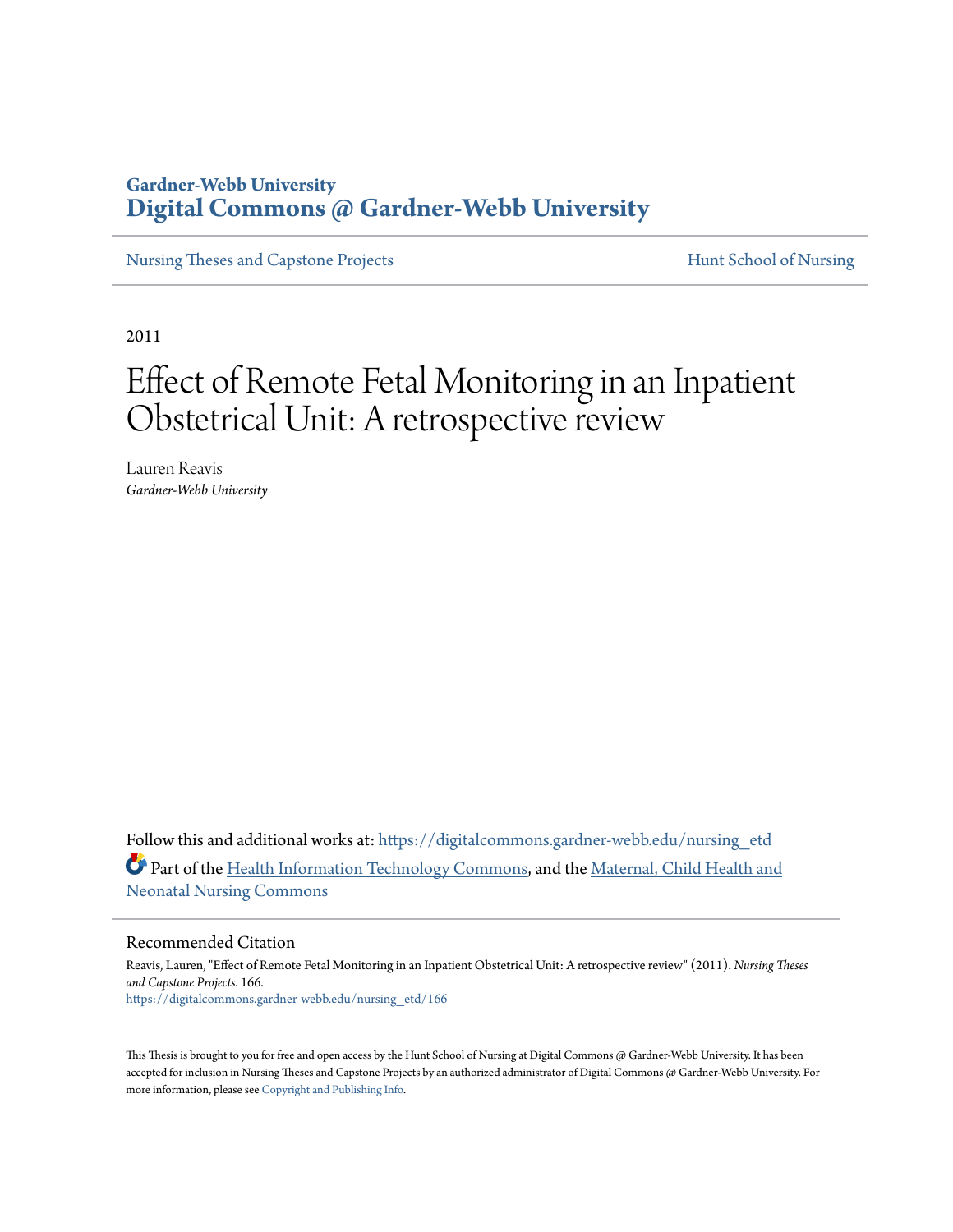## **Gardner-Webb University [Digital Commons @ Gardner-Webb University](https://digitalcommons.gardner-webb.edu?utm_source=digitalcommons.gardner-webb.edu%2Fnursing_etd%2F166&utm_medium=PDF&utm_campaign=PDFCoverPages)**

[Nursing Theses and Capstone Projects](https://digitalcommons.gardner-webb.edu/nursing_etd?utm_source=digitalcommons.gardner-webb.edu%2Fnursing_etd%2F166&utm_medium=PDF&utm_campaign=PDFCoverPages) **[Hunt School of Nursing](https://digitalcommons.gardner-webb.edu/nursing?utm_source=digitalcommons.gardner-webb.edu%2Fnursing_etd%2F166&utm_medium=PDF&utm_campaign=PDFCoverPages)** 

2011

## Effect of Remote Fetal Monitoring in an Inpatient Obstetrical Unit: A retrospective review

Lauren Reavis *Gardner-Webb University*

Follow this and additional works at: [https://digitalcommons.gardner-webb.edu/nursing\\_etd](https://digitalcommons.gardner-webb.edu/nursing_etd?utm_source=digitalcommons.gardner-webb.edu%2Fnursing_etd%2F166&utm_medium=PDF&utm_campaign=PDFCoverPages) Part of the [Health Information Technology Commons](http://network.bepress.com/hgg/discipline/1239?utm_source=digitalcommons.gardner-webb.edu%2Fnursing_etd%2F166&utm_medium=PDF&utm_campaign=PDFCoverPages), and the [Maternal, Child Health and](http://network.bepress.com/hgg/discipline/721?utm_source=digitalcommons.gardner-webb.edu%2Fnursing_etd%2F166&utm_medium=PDF&utm_campaign=PDFCoverPages) [Neonatal Nursing Commons](http://network.bepress.com/hgg/discipline/721?utm_source=digitalcommons.gardner-webb.edu%2Fnursing_etd%2F166&utm_medium=PDF&utm_campaign=PDFCoverPages)

#### Recommended Citation

Reavis, Lauren, "Effect of Remote Fetal Monitoring in an Inpatient Obstetrical Unit: A retrospective review" (2011). *Nursing Theses and Capstone Projects*. 166. [https://digitalcommons.gardner-webb.edu/nursing\\_etd/166](https://digitalcommons.gardner-webb.edu/nursing_etd/166?utm_source=digitalcommons.gardner-webb.edu%2Fnursing_etd%2F166&utm_medium=PDF&utm_campaign=PDFCoverPages)

This Thesis is brought to you for free and open access by the Hunt School of Nursing at Digital Commons @ Gardner-Webb University. It has been accepted for inclusion in Nursing Theses and Capstone Projects by an authorized administrator of Digital Commons @ Gardner-Webb University. For more information, please see [Copyright and Publishing Info](https://digitalcommons.gardner-webb.edu/copyright_publishing.html).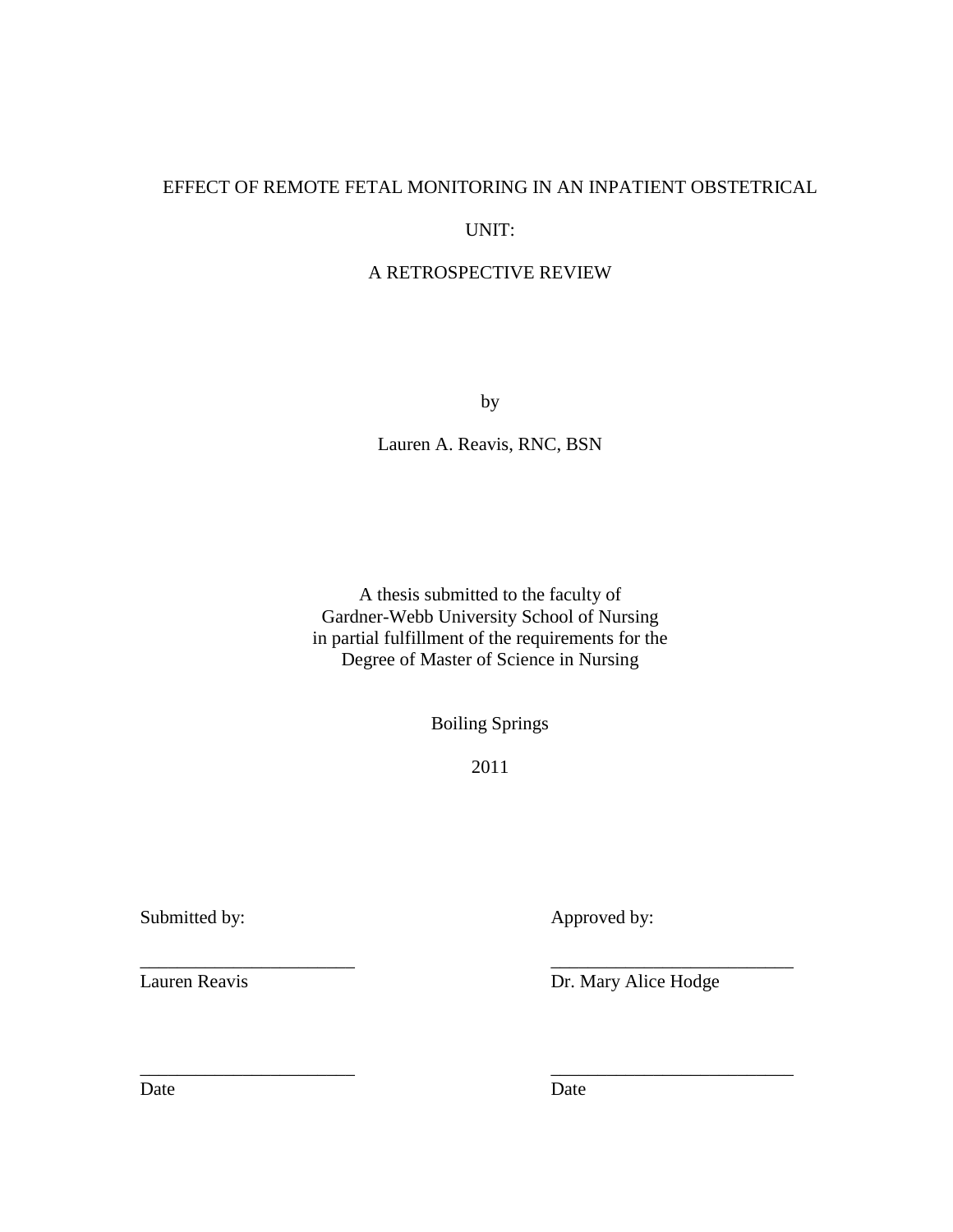## EFFECT OF REMOTE FETAL MONITORING IN AN INPATIENT OBSTETRICAL

### UNIT:

### A RETROSPECTIVE REVIEW

by

Lauren A. Reavis, RNC, BSN

A thesis submitted to the faculty of Gardner-Webb University School of Nursing in partial fulfillment of the requirements for the Degree of Master of Science in Nursing

Boiling Springs

2011

\_\_\_\_\_\_\_\_\_\_\_\_\_\_\_\_\_\_\_\_\_\_\_ \_\_\_\_\_\_\_\_\_\_\_\_\_\_\_\_\_\_\_\_\_\_\_\_\_\_

\_\_\_\_\_\_\_\_\_\_\_\_\_\_\_\_\_\_\_\_\_\_\_ \_\_\_\_\_\_\_\_\_\_\_\_\_\_\_\_\_\_\_\_\_\_\_\_\_\_

Submitted by: Approved by:

Lauren Reavis Dr. Mary Alice Hodge

Date Date Date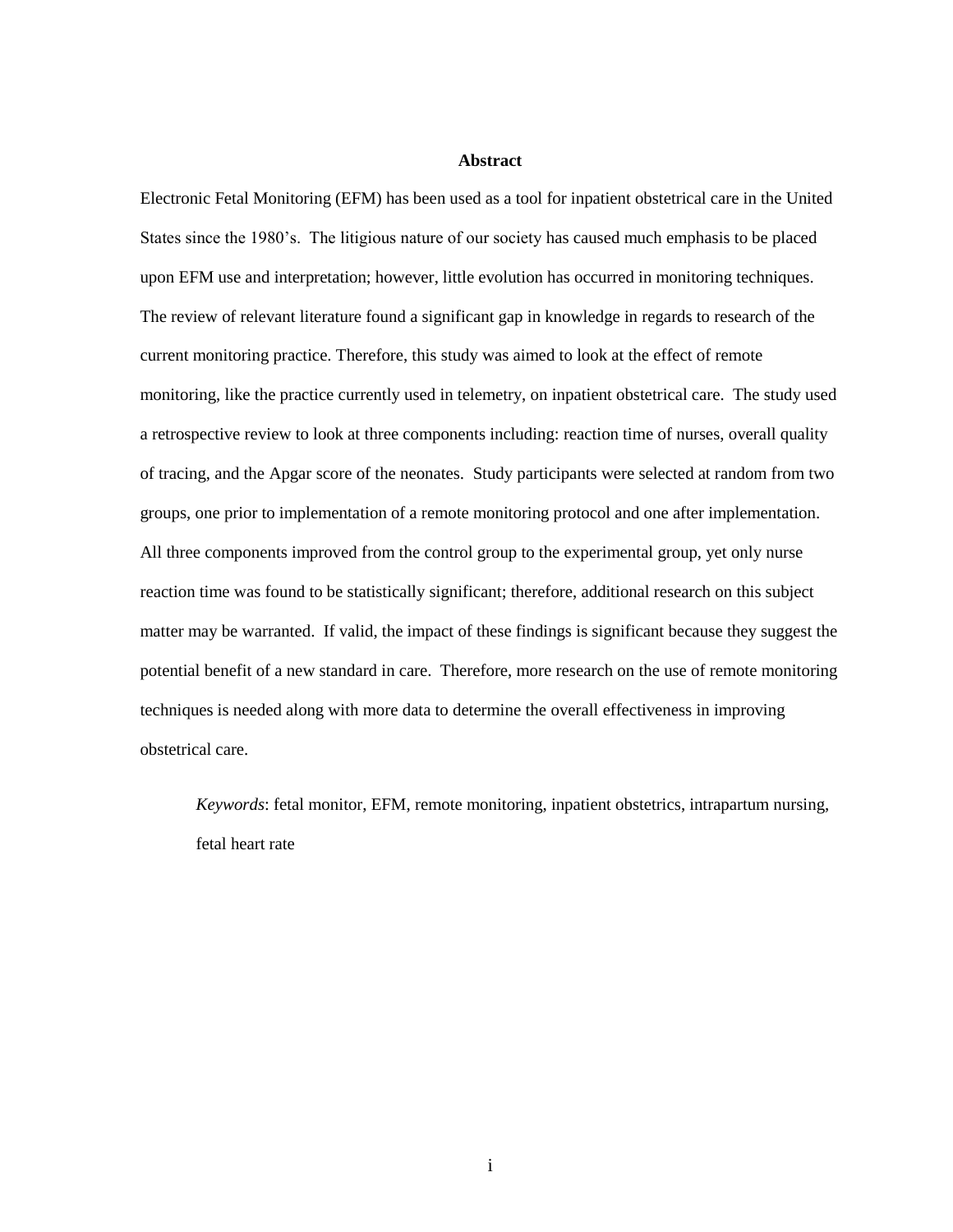#### **Abstract**

Electronic Fetal Monitoring (EFM) has been used as a tool for inpatient obstetrical care in the United States since the 1980's. The litigious nature of our society has caused much emphasis to be placed upon EFM use and interpretation; however, little evolution has occurred in monitoring techniques. The review of relevant literature found a significant gap in knowledge in regards to research of the current monitoring practice. Therefore, this study was aimed to look at the effect of remote monitoring, like the practice currently used in telemetry, on inpatient obstetrical care. The study used a retrospective review to look at three components including: reaction time of nurses, overall quality of tracing, and the Apgar score of the neonates. Study participants were selected at random from two groups, one prior to implementation of a remote monitoring protocol and one after implementation. All three components improved from the control group to the experimental group, yet only nurse reaction time was found to be statistically significant; therefore, additional research on this subject matter may be warranted. If valid, the impact of these findings is significant because they suggest the potential benefit of a new standard in care. Therefore, more research on the use of remote monitoring techniques is needed along with more data to determine the overall effectiveness in improving obstetrical care.

*Keywords*: fetal monitor, EFM, remote monitoring, inpatient obstetrics, intrapartum nursing, fetal heart rate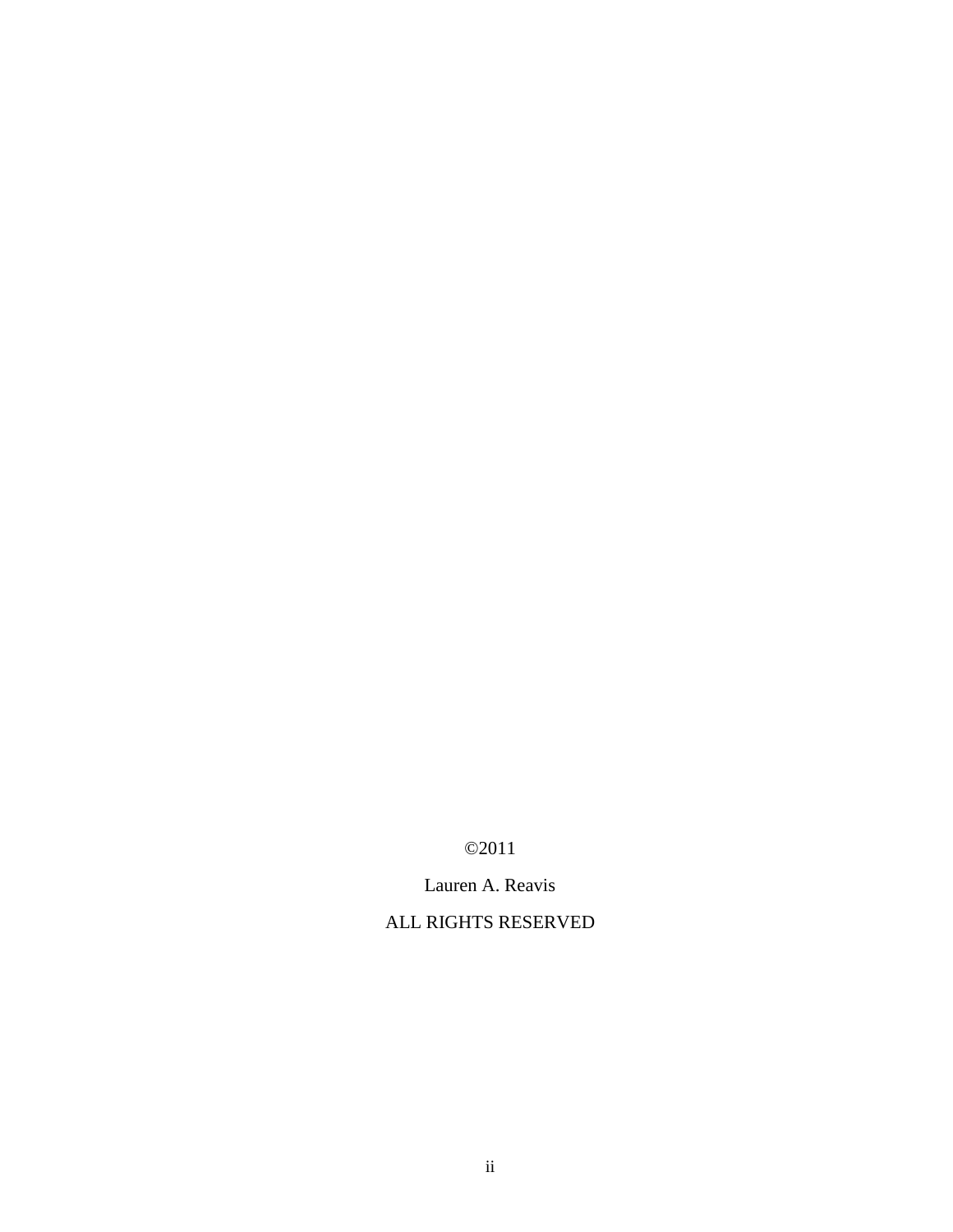©2011

Lauren A. Reavis

ALL RIGHTS RESERVED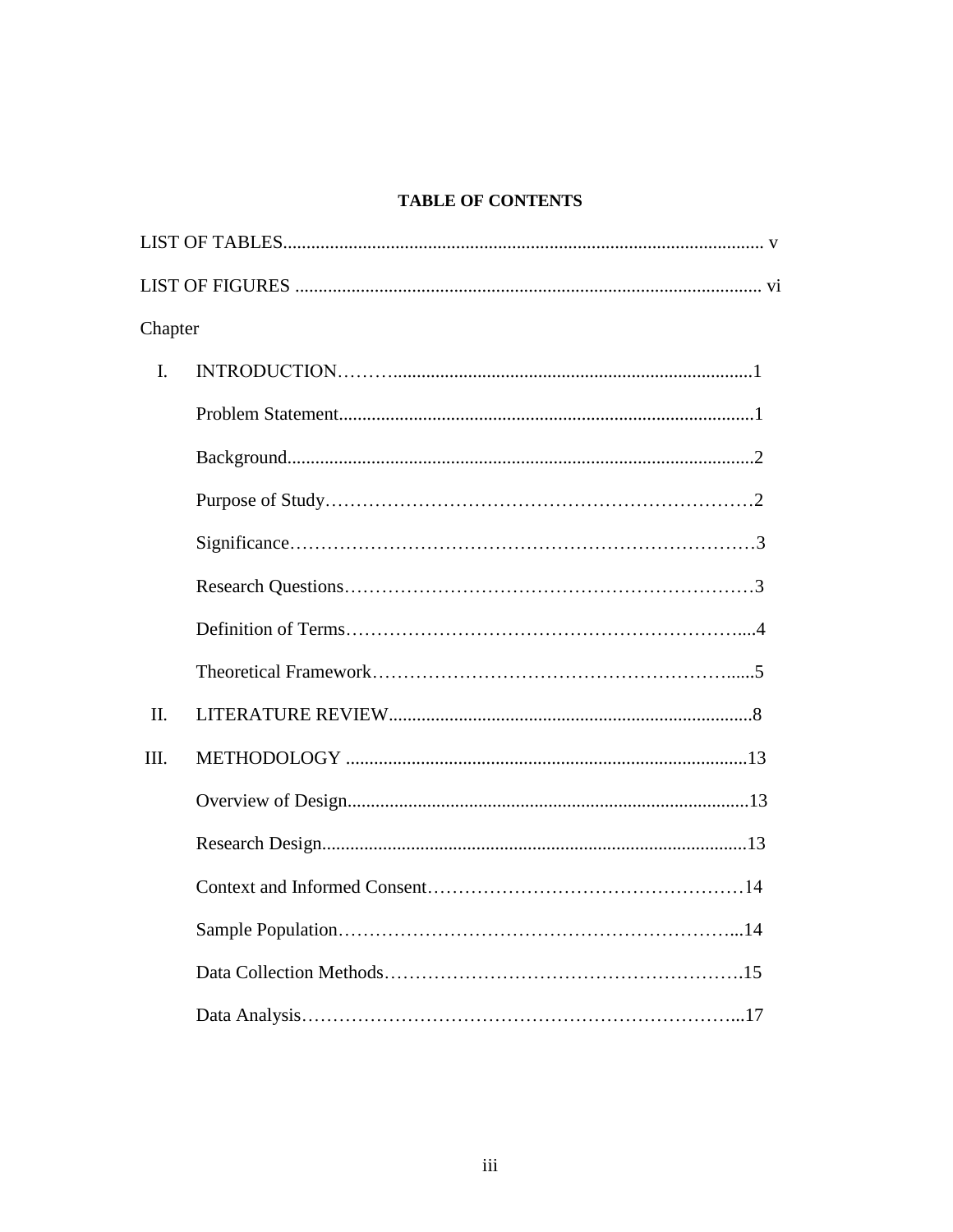## **TABLE OF CONTENTS**

| Chapter        |  |
|----------------|--|
| $\mathbf{I}$ . |  |
|                |  |
|                |  |
|                |  |
|                |  |
|                |  |
|                |  |
|                |  |
| II.            |  |
| III.           |  |
|                |  |
|                |  |
|                |  |
|                |  |
|                |  |
|                |  |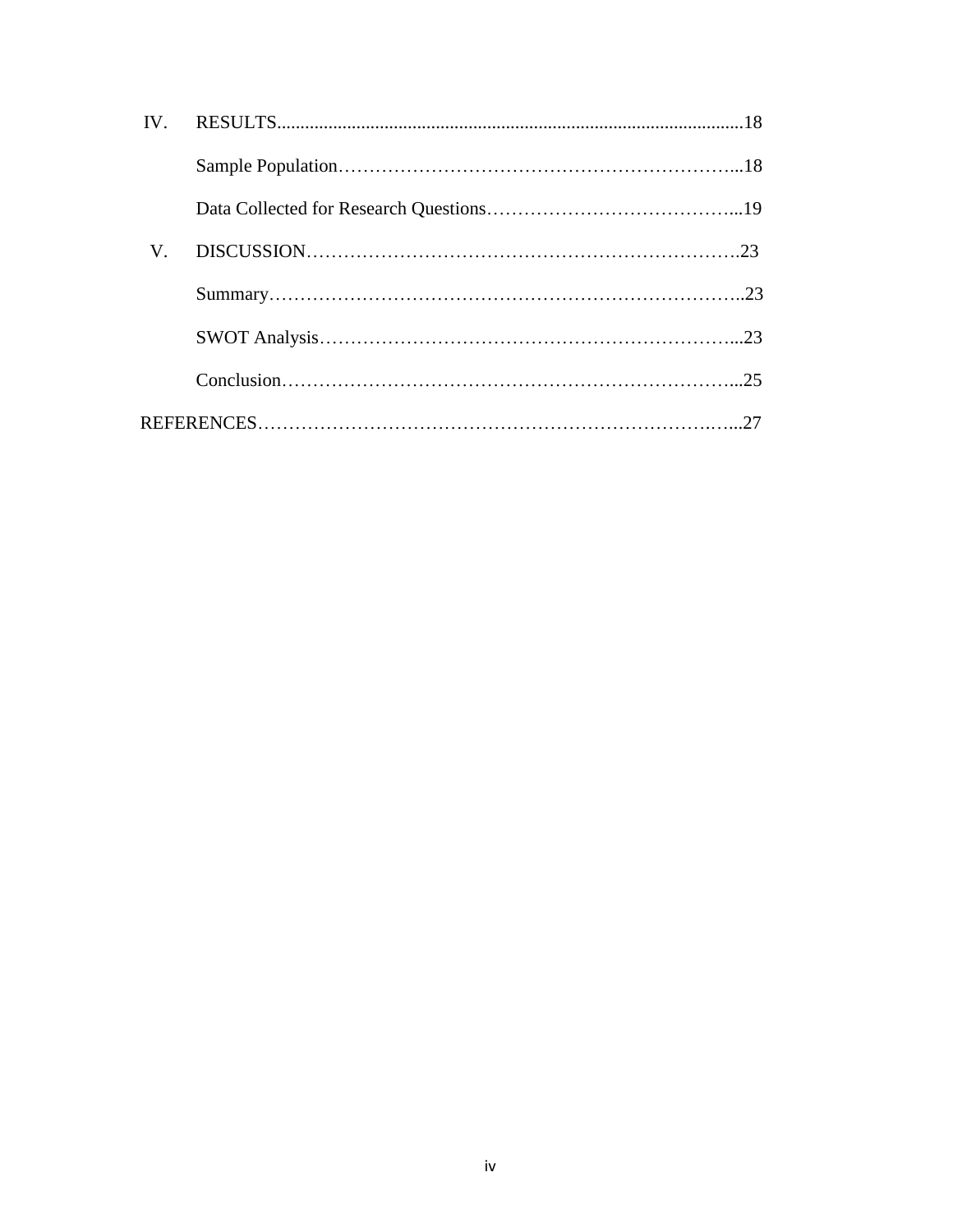| $\mathbf{IV}$ |  |
|---------------|--|
|               |  |
|               |  |
| V.            |  |
|               |  |
|               |  |
|               |  |
|               |  |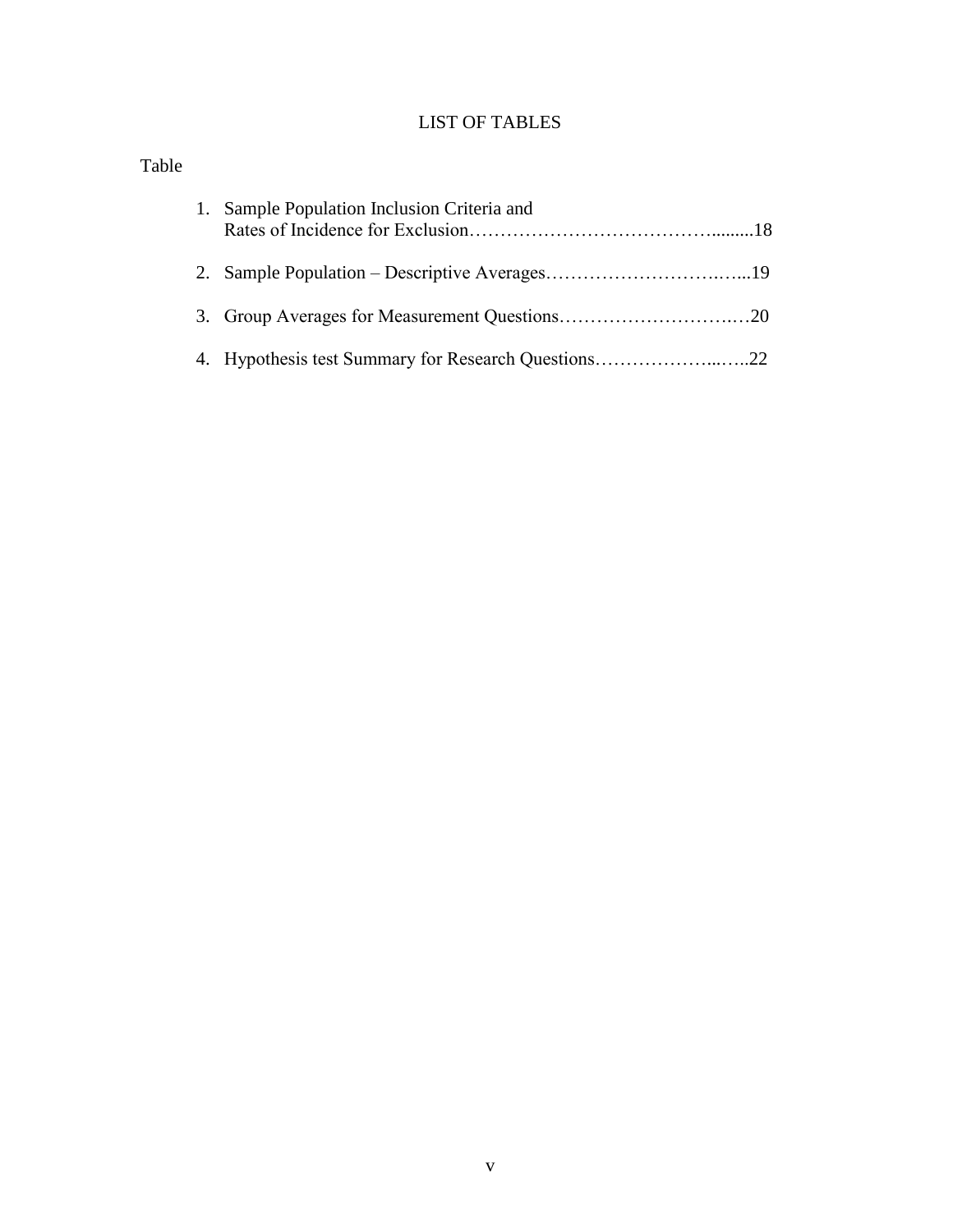## LIST OF TABLES

| Table |                                             |
|-------|---------------------------------------------|
|       | 1. Sample Population Inclusion Criteria and |
|       |                                             |
|       |                                             |
|       |                                             |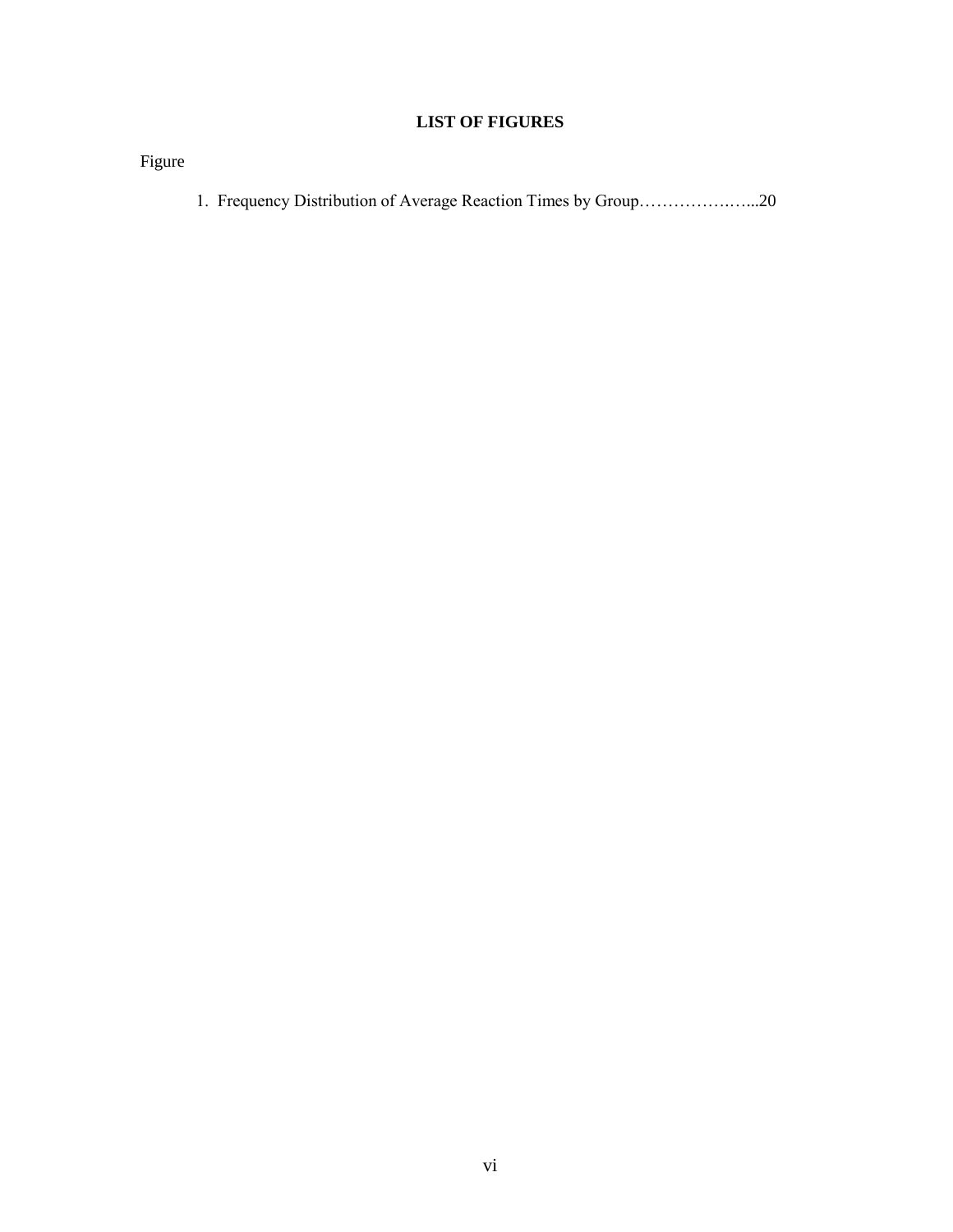## **LIST OF FIGURES**

Figure

1. Frequency Distribution of Average Reaction Times by Group…………….…...20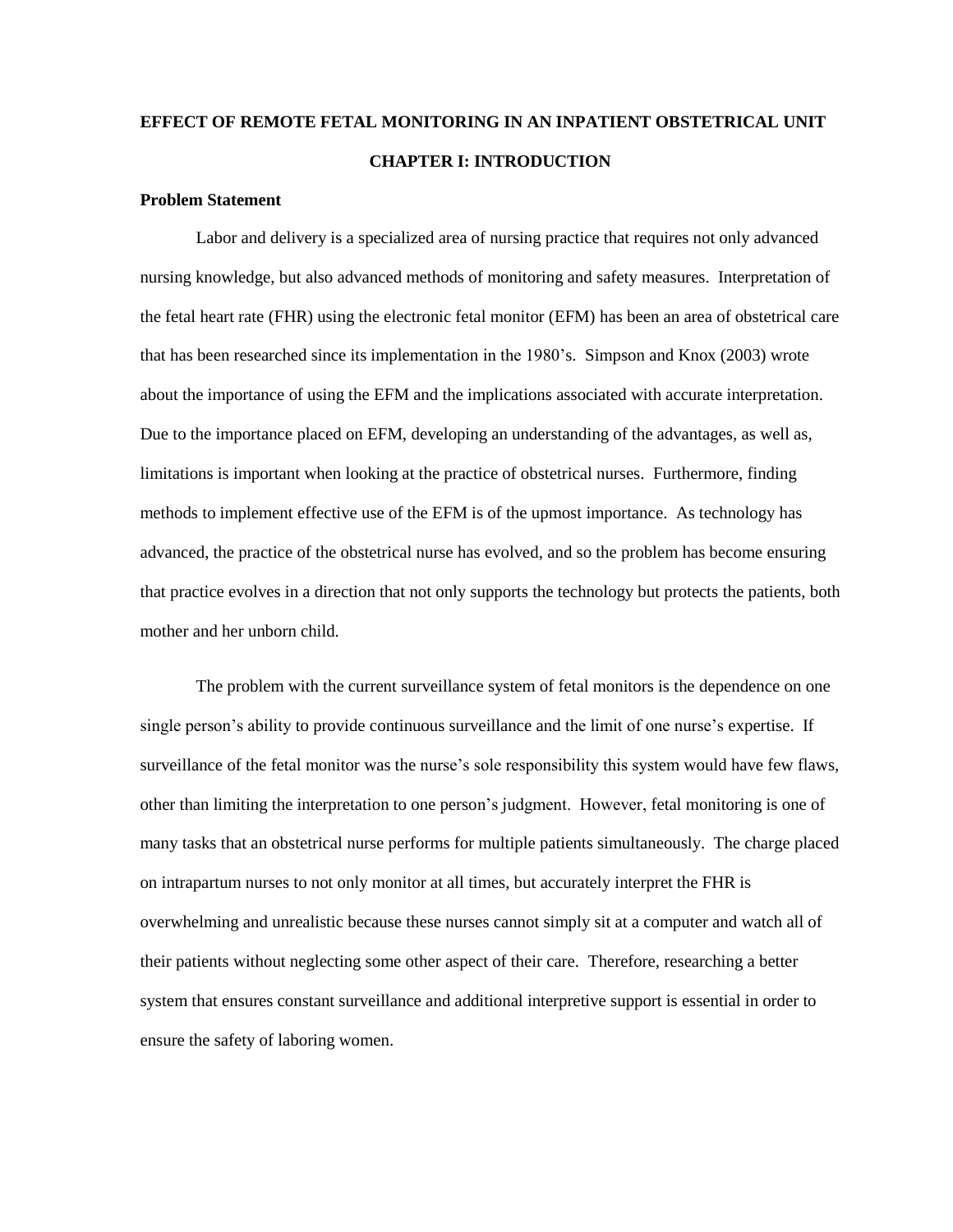## **EFFECT OF REMOTE FETAL MONITORING IN AN INPATIENT OBSTETRICAL UNIT CHAPTER I: INTRODUCTION**

#### **Problem Statement**

Labor and delivery is a specialized area of nursing practice that requires not only advanced nursing knowledge, but also advanced methods of monitoring and safety measures. Interpretation of the fetal heart rate (FHR) using the electronic fetal monitor (EFM) has been an area of obstetrical care that has been researched since its implementation in the 1980's. Simpson and Knox (2003) wrote about the importance of using the EFM and the implications associated with accurate interpretation. Due to the importance placed on EFM, developing an understanding of the advantages, as well as, limitations is important when looking at the practice of obstetrical nurses. Furthermore, finding methods to implement effective use of the EFM is of the upmost importance. As technology has advanced, the practice of the obstetrical nurse has evolved, and so the problem has become ensuring that practice evolves in a direction that not only supports the technology but protects the patients, both mother and her unborn child.

The problem with the current surveillance system of fetal monitors is the dependence on one single person's ability to provide continuous surveillance and the limit of one nurse's expertise. If surveillance of the fetal monitor was the nurse's sole responsibility this system would have few flaws, other than limiting the interpretation to one person's judgment. However, fetal monitoring is one of many tasks that an obstetrical nurse performs for multiple patients simultaneously. The charge placed on intrapartum nurses to not only monitor at all times, but accurately interpret the FHR is overwhelming and unrealistic because these nurses cannot simply sit at a computer and watch all of their patients without neglecting some other aspect of their care. Therefore, researching a better system that ensures constant surveillance and additional interpretive support is essential in order to ensure the safety of laboring women.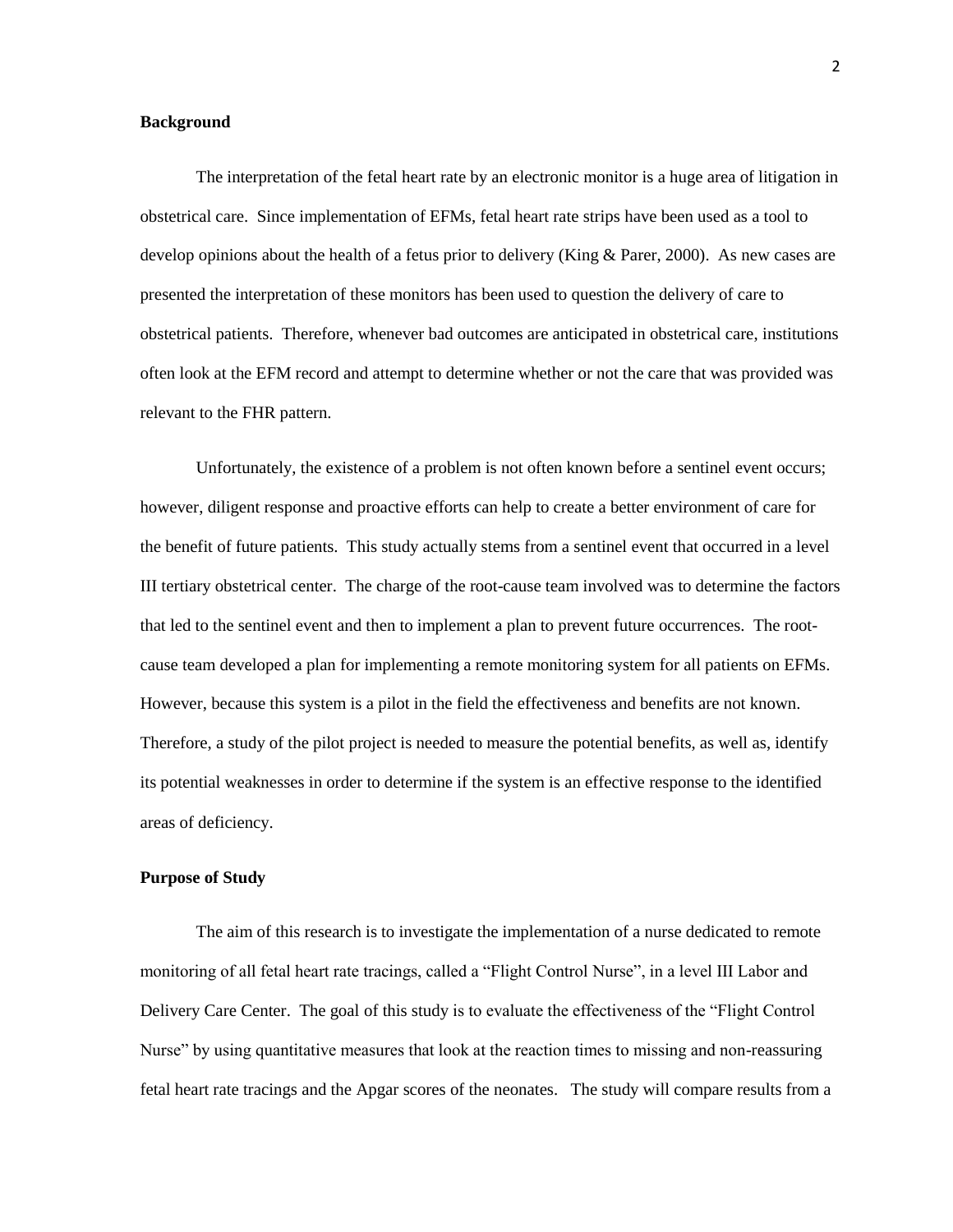#### **Background**

The interpretation of the fetal heart rate by an electronic monitor is a huge area of litigation in obstetrical care. Since implementation of EFMs, fetal heart rate strips have been used as a tool to develop opinions about the health of a fetus prior to delivery (King & Parer, 2000). As new cases are presented the interpretation of these monitors has been used to question the delivery of care to obstetrical patients. Therefore, whenever bad outcomes are anticipated in obstetrical care, institutions often look at the EFM record and attempt to determine whether or not the care that was provided was relevant to the FHR pattern.

Unfortunately, the existence of a problem is not often known before a sentinel event occurs; however, diligent response and proactive efforts can help to create a better environment of care for the benefit of future patients. This study actually stems from a sentinel event that occurred in a level III tertiary obstetrical center. The charge of the root-cause team involved was to determine the factors that led to the sentinel event and then to implement a plan to prevent future occurrences. The rootcause team developed a plan for implementing a remote monitoring system for all patients on EFMs. However, because this system is a pilot in the field the effectiveness and benefits are not known. Therefore, a study of the pilot project is needed to measure the potential benefits, as well as, identify its potential weaknesses in order to determine if the system is an effective response to the identified areas of deficiency.

#### **Purpose of Study**

The aim of this research is to investigate the implementation of a nurse dedicated to remote monitoring of all fetal heart rate tracings, called a "Flight Control Nurse", in a level III Labor and Delivery Care Center. The goal of this study is to evaluate the effectiveness of the "Flight Control" Nurse" by using quantitative measures that look at the reaction times to missing and non-reassuring fetal heart rate tracings and the Apgar scores of the neonates. The study will compare results from a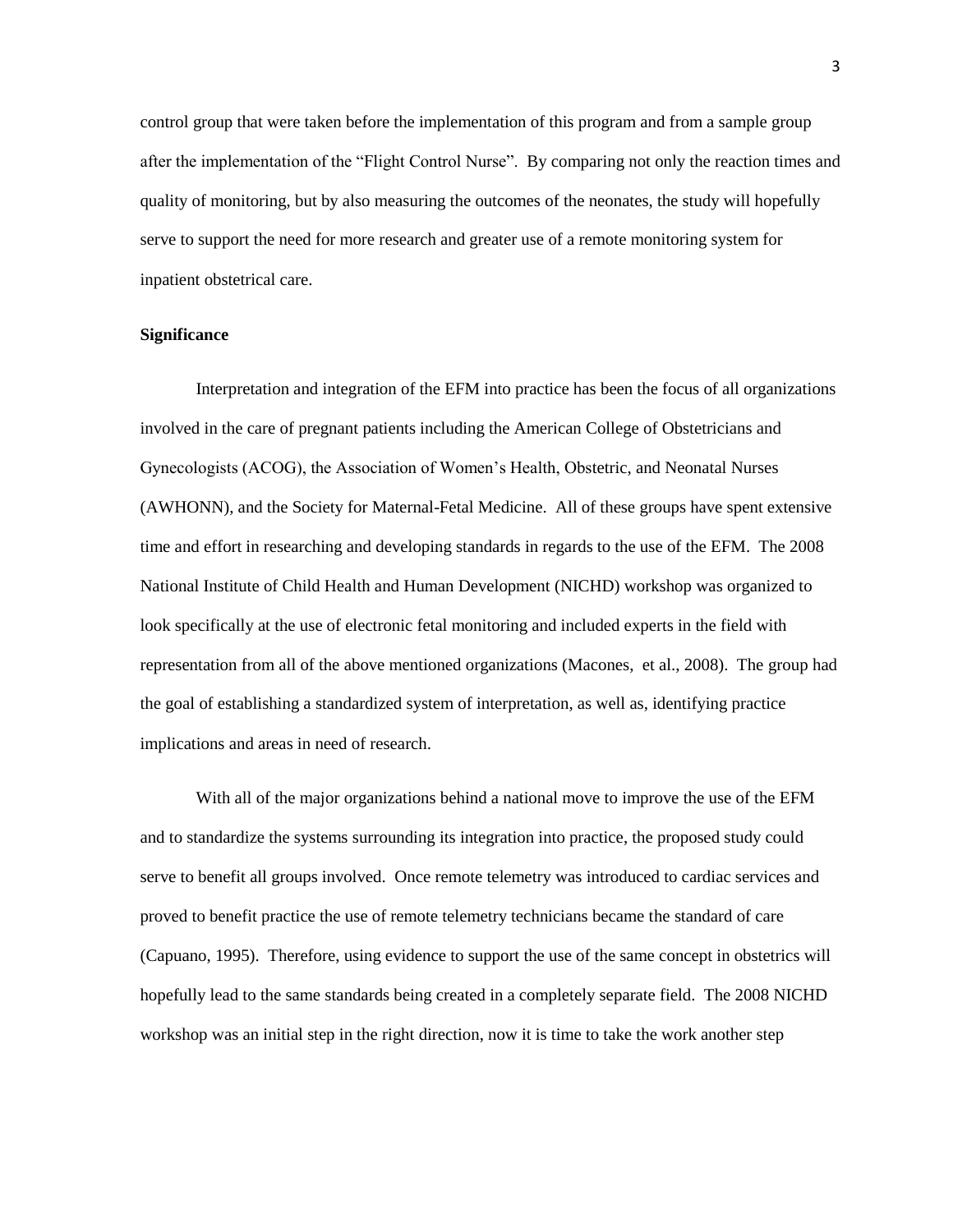control group that were taken before the implementation of this program and from a sample group after the implementation of the "Flight Control Nurse". By comparing not only the reaction times and quality of monitoring, but by also measuring the outcomes of the neonates, the study will hopefully serve to support the need for more research and greater use of a remote monitoring system for inpatient obstetrical care.

#### **Significance**

Interpretation and integration of the EFM into practice has been the focus of all organizations involved in the care of pregnant patients including the American College of Obstetricians and Gynecologists (ACOG), the Association of Women's Health, Obstetric, and Neonatal Nurses (AWHONN), and the Society for Maternal-Fetal Medicine. All of these groups have spent extensive time and effort in researching and developing standards in regards to the use of the EFM. The 2008 National Institute of Child Health and Human Development (NICHD) workshop was organized to look specifically at the use of electronic fetal monitoring and included experts in the field with representation from all of the above mentioned organizations (Macones, et al., 2008). The group had the goal of establishing a standardized system of interpretation, as well as, identifying practice implications and areas in need of research.

With all of the major organizations behind a national move to improve the use of the EFM and to standardize the systems surrounding its integration into practice, the proposed study could serve to benefit all groups involved. Once remote telemetry was introduced to cardiac services and proved to benefit practice the use of remote telemetry technicians became the standard of care (Capuano, 1995). Therefore, using evidence to support the use of the same concept in obstetrics will hopefully lead to the same standards being created in a completely separate field. The 2008 NICHD workshop was an initial step in the right direction, now it is time to take the work another step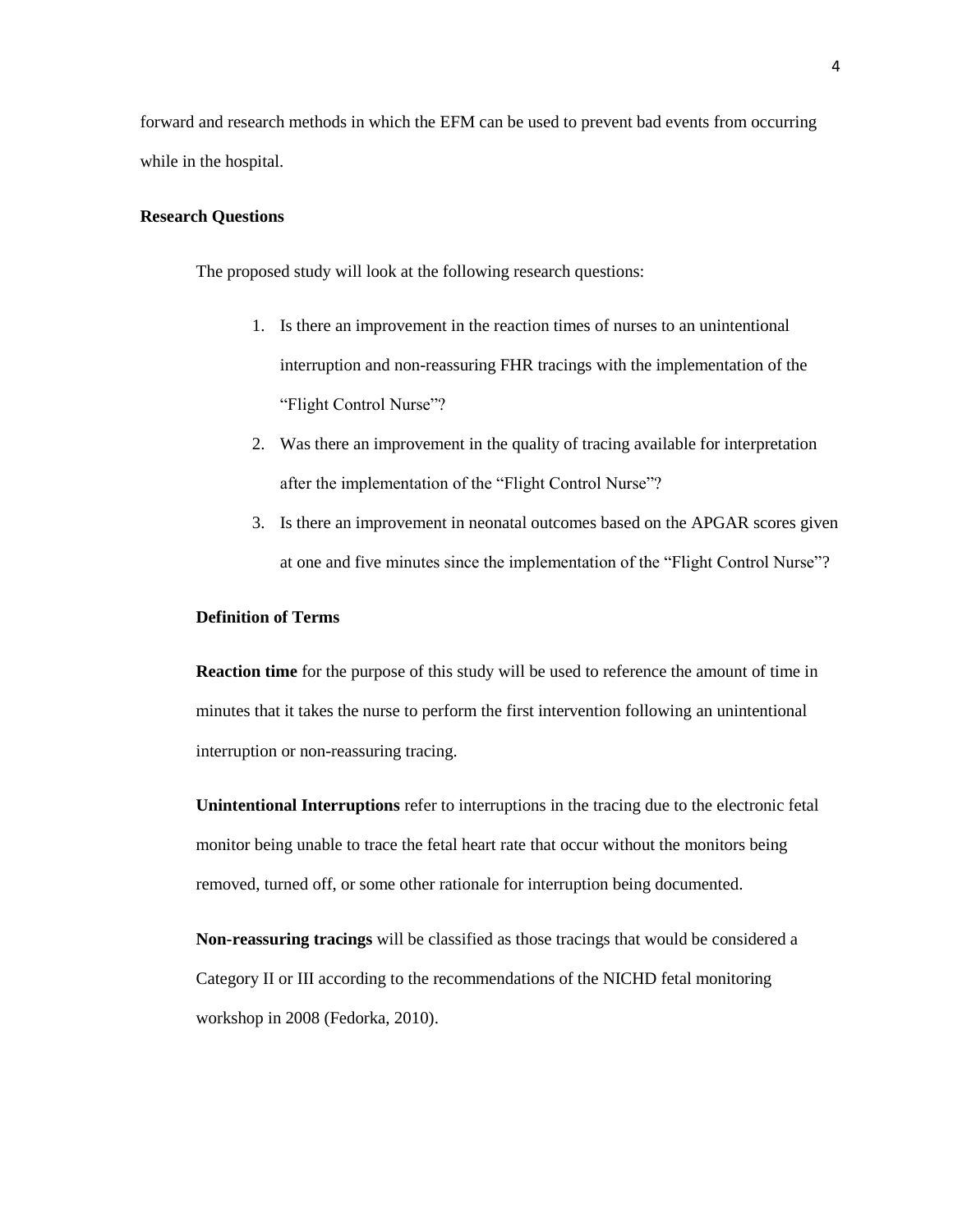forward and research methods in which the EFM can be used to prevent bad events from occurring while in the hospital.

#### **Research Questions**

The proposed study will look at the following research questions:

- 1. Is there an improvement in the reaction times of nurses to an unintentional interruption and non-reassuring FHR tracings with the implementation of the "Flight Control Nurse"?
- 2. Was there an improvement in the quality of tracing available for interpretation after the implementation of the "Flight Control Nurse"?
- 3. Is there an improvement in neonatal outcomes based on the APGAR scores given at one and five minutes since the implementation of the "Flight Control Nurse"?

#### **Definition of Terms**

**Reaction time** for the purpose of this study will be used to reference the amount of time in minutes that it takes the nurse to perform the first intervention following an unintentional interruption or non-reassuring tracing.

**Unintentional Interruptions** refer to interruptions in the tracing due to the electronic fetal monitor being unable to trace the fetal heart rate that occur without the monitors being removed, turned off, or some other rationale for interruption being documented.

**Non-reassuring tracings** will be classified as those tracings that would be considered a Category II or III according to the recommendations of the NICHD fetal monitoring workshop in 2008 (Fedorka, 2010).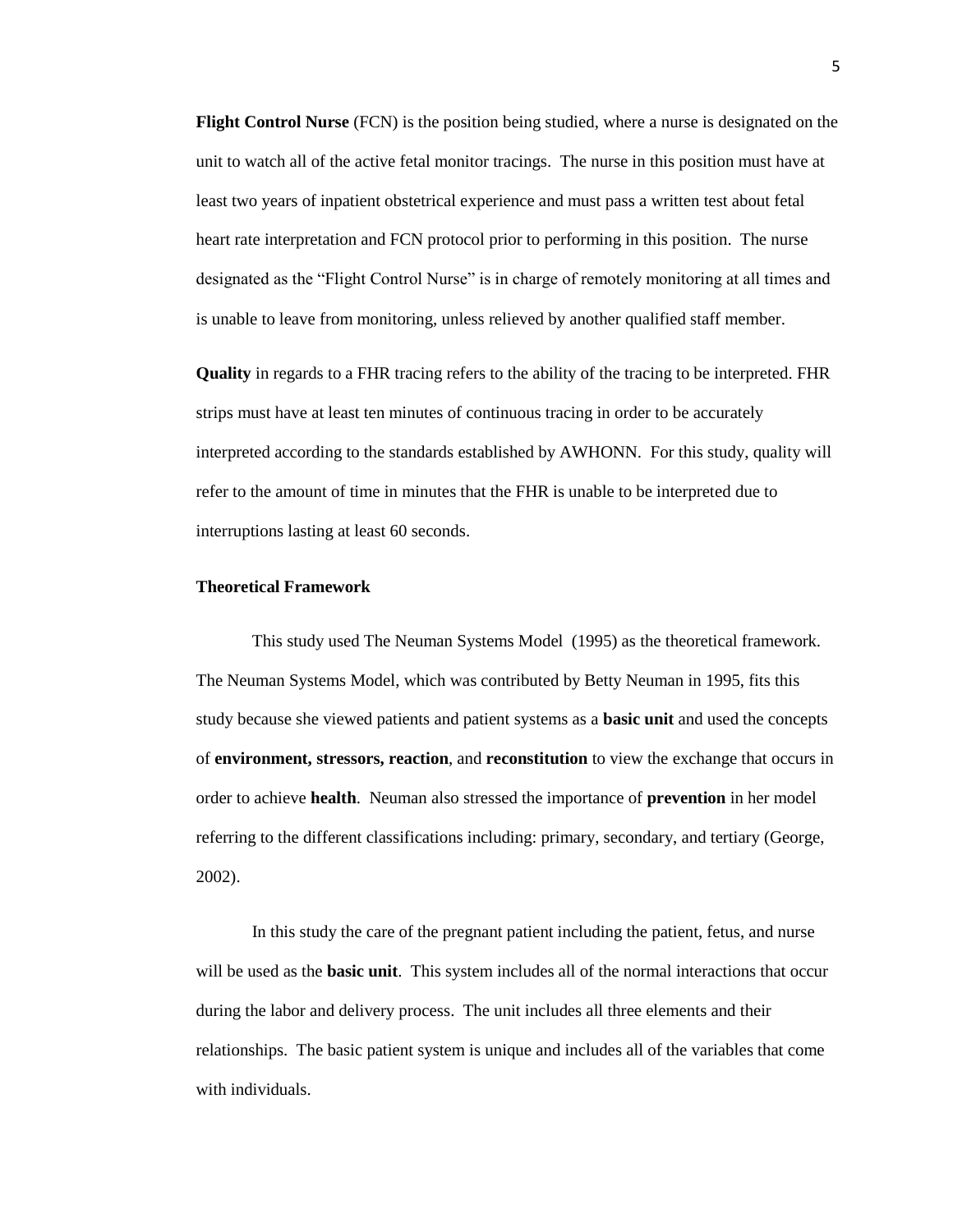**Flight Control Nurse** (FCN) is the position being studied, where a nurse is designated on the unit to watch all of the active fetal monitor tracings. The nurse in this position must have at least two years of inpatient obstetrical experience and must pass a written test about fetal heart rate interpretation and FCN protocol prior to performing in this position. The nurse designated as the "Flight Control Nurse" is in charge of remotely monitoring at all times and is unable to leave from monitoring, unless relieved by another qualified staff member.

**Quality** in regards to a FHR tracing refers to the ability of the tracing to be interpreted. FHR strips must have at least ten minutes of continuous tracing in order to be accurately interpreted according to the standards established by AWHONN. For this study, quality will refer to the amount of time in minutes that the FHR is unable to be interpreted due to interruptions lasting at least 60 seconds.

#### **Theoretical Framework**

This study used The Neuman Systems Model (1995) as the theoretical framework. The Neuman Systems Model, which was contributed by Betty Neuman in 1995, fits this study because she viewed patients and patient systems as a **basic unit** and used the concepts of **environment, stressors, reaction**, and **reconstitution** to view the exchange that occurs in order to achieve **health**. Neuman also stressed the importance of **prevention** in her model referring to the different classifications including: primary, secondary, and tertiary (George, 2002).

In this study the care of the pregnant patient including the patient, fetus, and nurse will be used as the **basic unit**. This system includes all of the normal interactions that occur during the labor and delivery process. The unit includes all three elements and their relationships. The basic patient system is unique and includes all of the variables that come with individuals.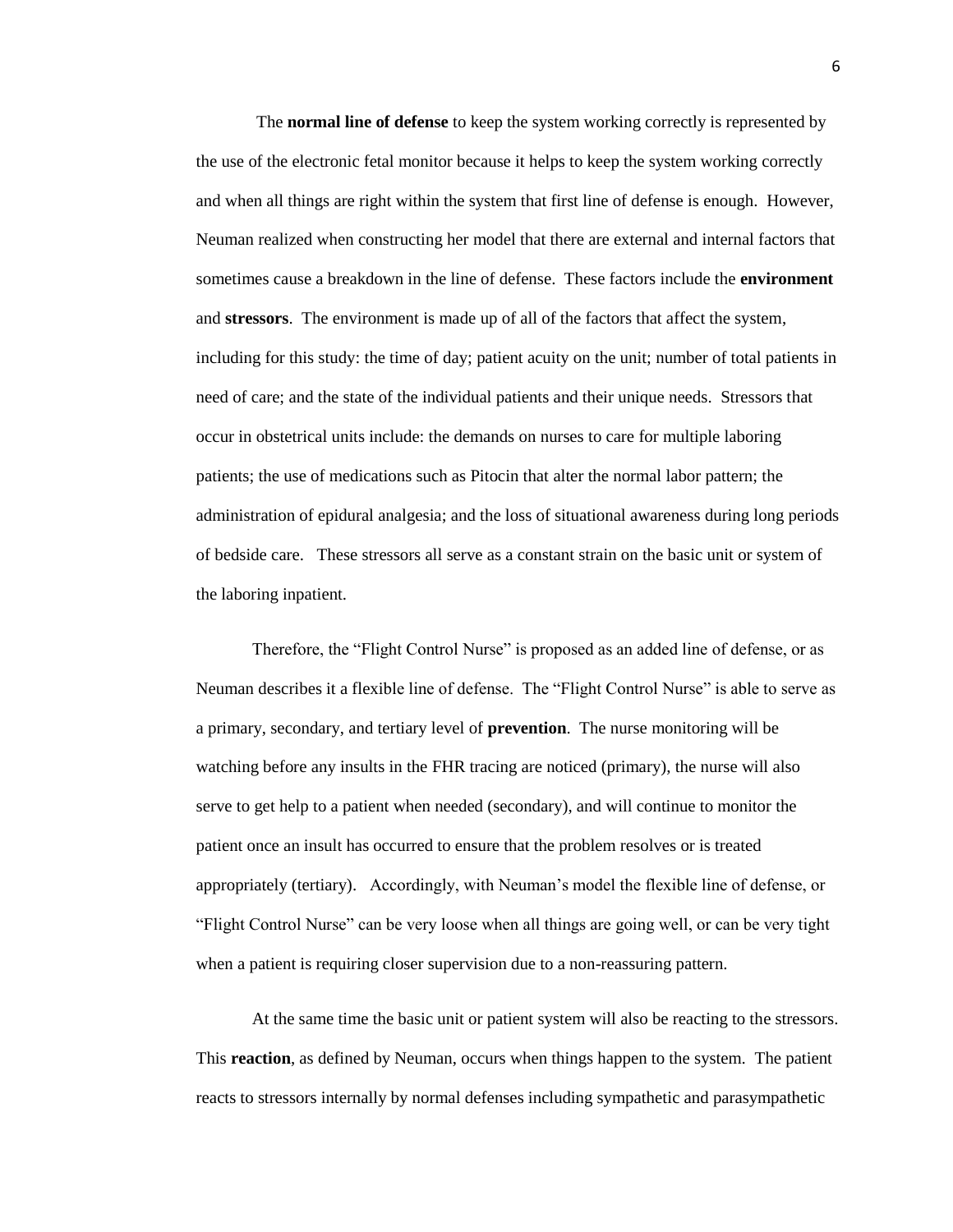The **normal line of defense** to keep the system working correctly is represented by the use of the electronic fetal monitor because it helps to keep the system working correctly and when all things are right within the system that first line of defense is enough. However, Neuman realized when constructing her model that there are external and internal factors that sometimes cause a breakdown in the line of defense. These factors include the **environment**  and **stressors**. The environment is made up of all of the factors that affect the system, including for this study: the time of day; patient acuity on the unit; number of total patients in need of care; and the state of the individual patients and their unique needs. Stressors that occur in obstetrical units include: the demands on nurses to care for multiple laboring patients; the use of medications such as Pitocin that alter the normal labor pattern; the administration of epidural analgesia; and the loss of situational awareness during long periods of bedside care. These stressors all serve as a constant strain on the basic unit or system of the laboring inpatient.

Therefore, the "Flight Control Nurse" is proposed as an added line of defense, or as Neuman describes it a flexible line of defense. The "Flight Control Nurse" is able to serve as a primary, secondary, and tertiary level of **prevention**. The nurse monitoring will be watching before any insults in the FHR tracing are noticed (primary), the nurse will also serve to get help to a patient when needed (secondary), and will continue to monitor the patient once an insult has occurred to ensure that the problem resolves or is treated appropriately (tertiary). Accordingly, with Neuman's model the flexible line of defense, or "Flight Control Nurse" can be very loose when all things are going well, or can be very tight when a patient is requiring closer supervision due to a non-reassuring pattern.

At the same time the basic unit or patient system will also be reacting to the stressors. This **reaction**, as defined by Neuman, occurs when things happen to the system. The patient reacts to stressors internally by normal defenses including sympathetic and parasympathetic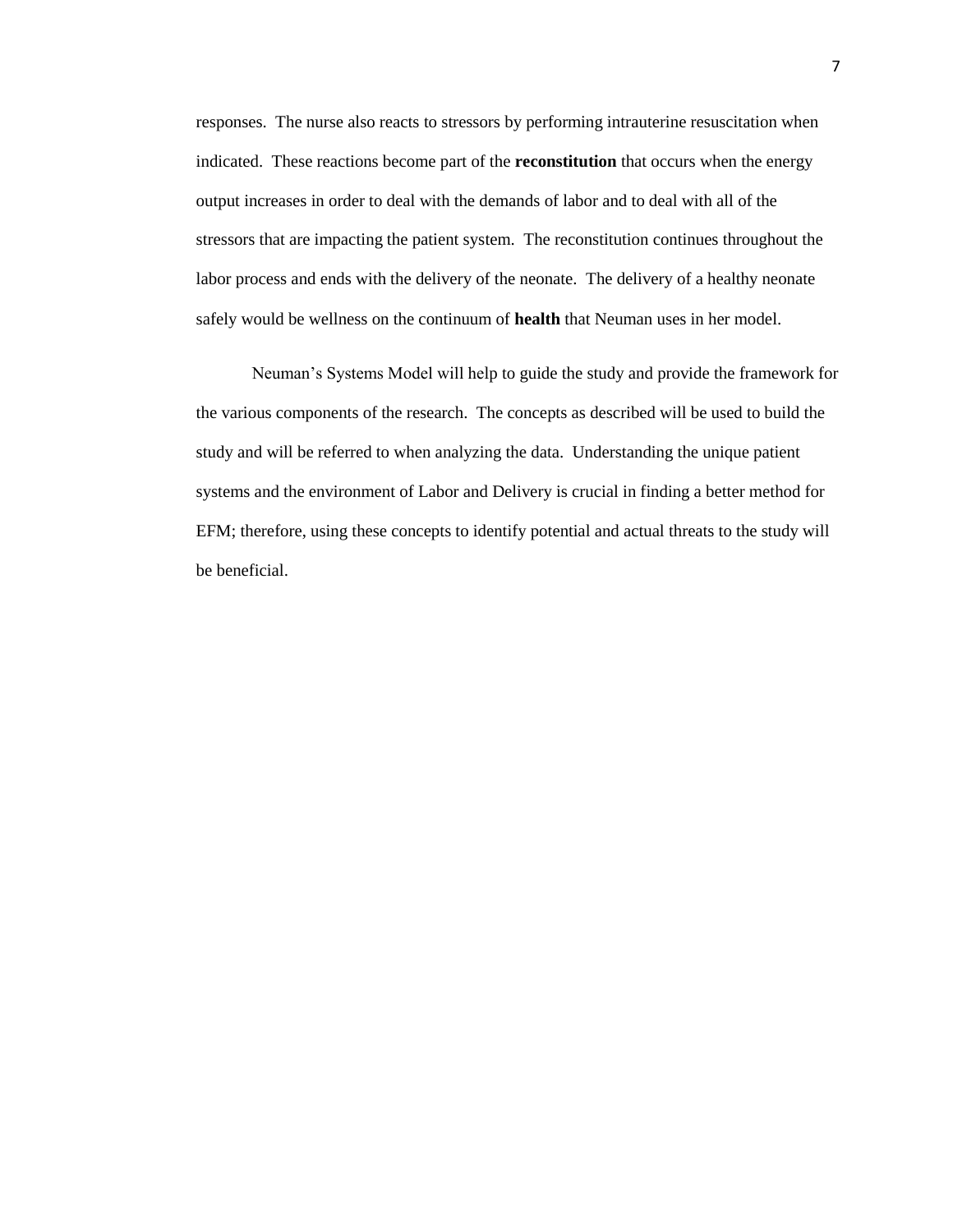responses. The nurse also reacts to stressors by performing intrauterine resuscitation when indicated. These reactions become part of the **reconstitution** that occurs when the energy output increases in order to deal with the demands of labor and to deal with all of the stressors that are impacting the patient system. The reconstitution continues throughout the labor process and ends with the delivery of the neonate. The delivery of a healthy neonate safely would be wellness on the continuum of **health** that Neuman uses in her model.

Neuman's Systems Model will help to guide the study and provide the framework for the various components of the research. The concepts as described will be used to build the study and will be referred to when analyzing the data. Understanding the unique patient systems and the environment of Labor and Delivery is crucial in finding a better method for EFM; therefore, using these concepts to identify potential and actual threats to the study will be beneficial.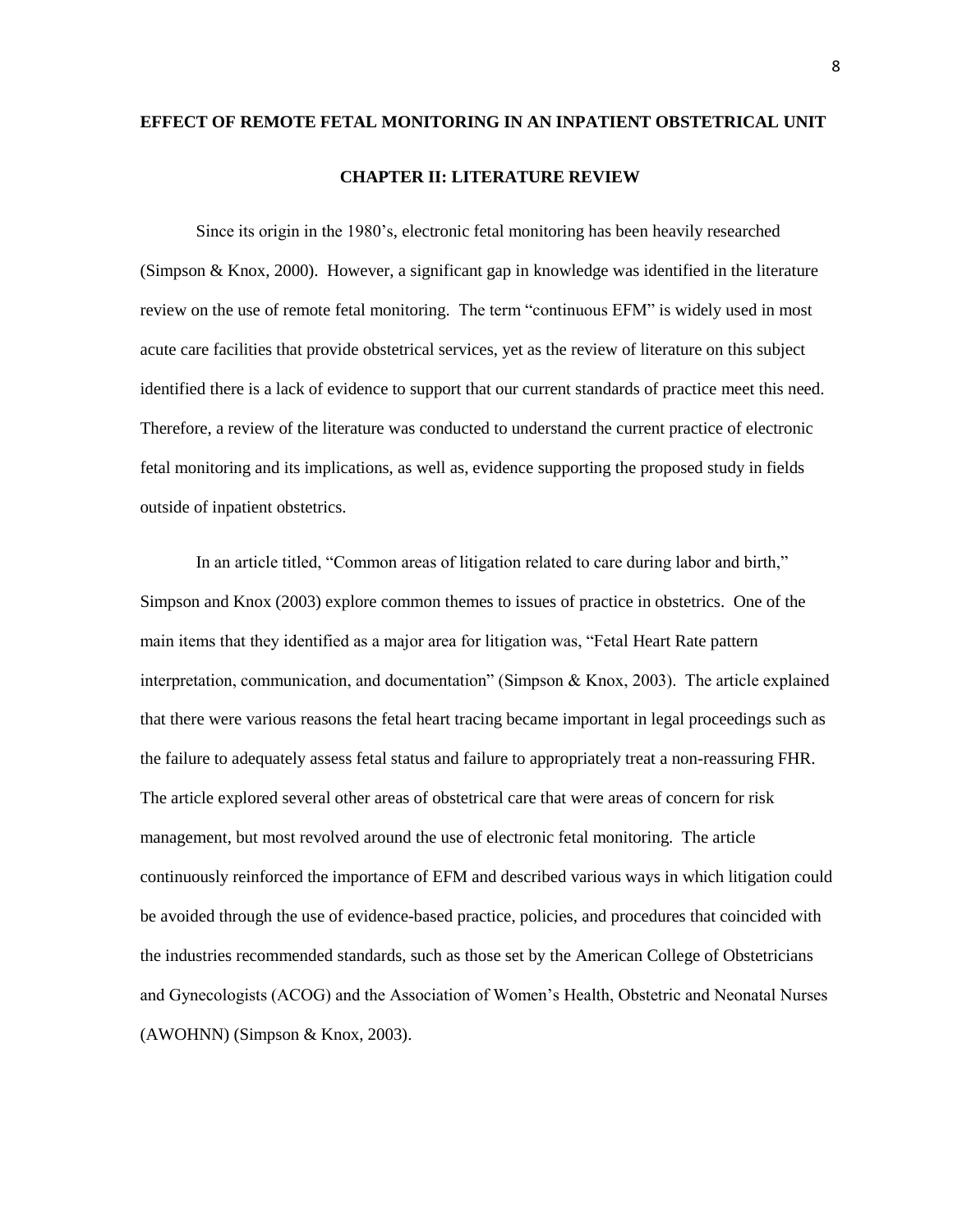## **EFFECT OF REMOTE FETAL MONITORING IN AN INPATIENT OBSTETRICAL UNIT CHAPTER II: LITERATURE REVIEW**

Since its origin in the 1980's, electronic fetal monitoring has been heavily researched (Simpson & Knox, 2000). However, a significant gap in knowledge was identified in the literature review on the use of remote fetal monitoring. The term "continuous EFM" is widely used in most acute care facilities that provide obstetrical services, yet as the review of literature on this subject identified there is a lack of evidence to support that our current standards of practice meet this need. Therefore, a review of the literature was conducted to understand the current practice of electronic fetal monitoring and its implications, as well as, evidence supporting the proposed study in fields outside of inpatient obstetrics.

In an article titled, "Common areas of litigation related to care during labor and birth," Simpson and Knox (2003) explore common themes to issues of practice in obstetrics. One of the main items that they identified as a major area for litigation was, "Fetal Heart Rate pattern interpretation, communication, and documentation" (Simpson  $\&$  Knox, 2003). The article explained that there were various reasons the fetal heart tracing became important in legal proceedings such as the failure to adequately assess fetal status and failure to appropriately treat a non-reassuring FHR. The article explored several other areas of obstetrical care that were areas of concern for risk management, but most revolved around the use of electronic fetal monitoring. The article continuously reinforced the importance of EFM and described various ways in which litigation could be avoided through the use of evidence-based practice, policies, and procedures that coincided with the industries recommended standards, such as those set by the American College of Obstetricians and Gynecologists (ACOG) and the Association of Women's Health, Obstetric and Neonatal Nurses (AWOHNN) (Simpson & Knox, 2003).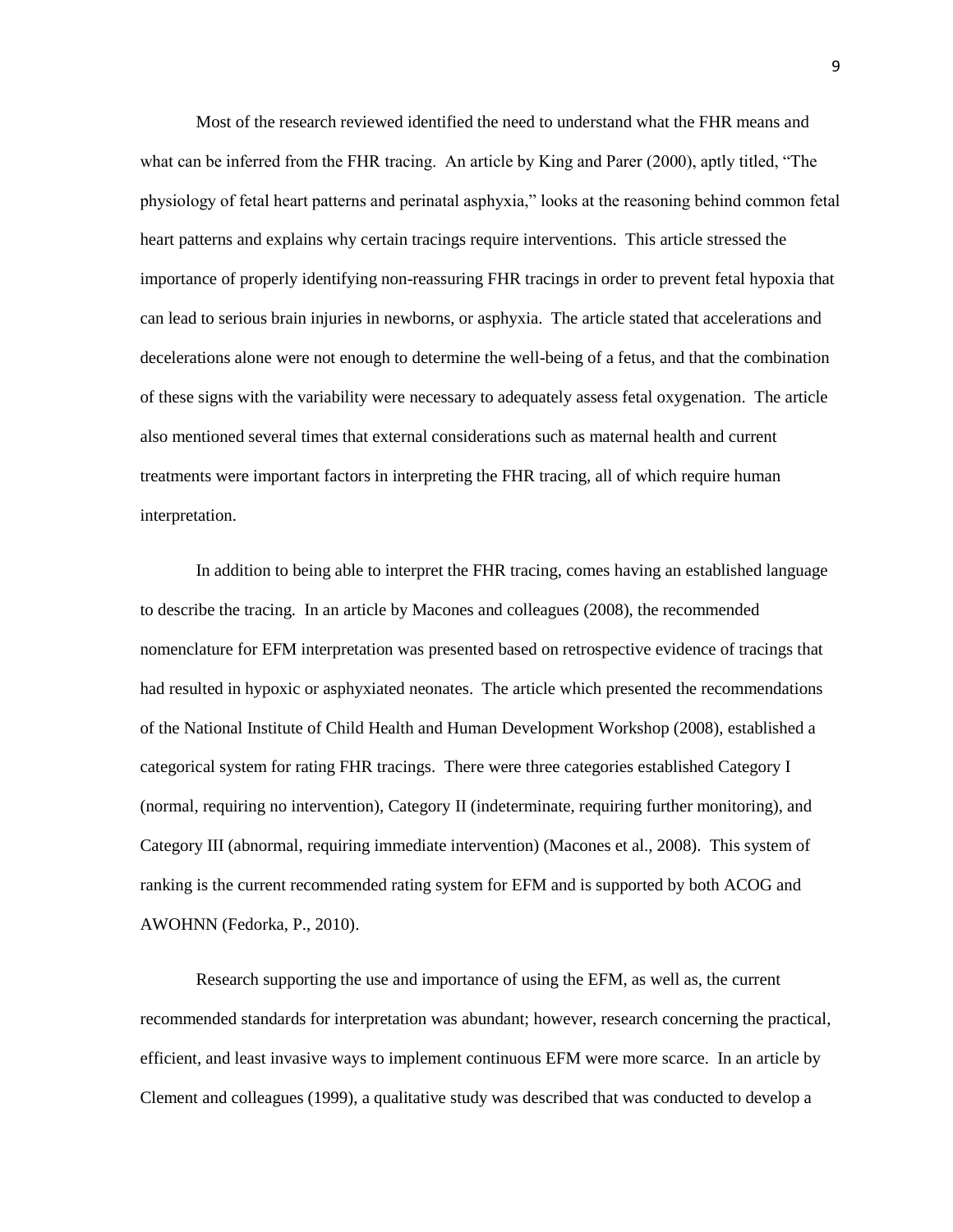Most of the research reviewed identified the need to understand what the FHR means and what can be inferred from the FHR tracing. An article by King and Parer  $(2000)$ , aptly titled, "The physiology of fetal heart patterns and perinatal asphyxia,‖ looks at the reasoning behind common fetal heart patterns and explains why certain tracings require interventions. This article stressed the importance of properly identifying non-reassuring FHR tracings in order to prevent fetal hypoxia that can lead to serious brain injuries in newborns, or asphyxia. The article stated that accelerations and decelerations alone were not enough to determine the well-being of a fetus, and that the combination of these signs with the variability were necessary to adequately assess fetal oxygenation. The article also mentioned several times that external considerations such as maternal health and current treatments were important factors in interpreting the FHR tracing, all of which require human interpretation.

In addition to being able to interpret the FHR tracing, comes having an established language to describe the tracing. In an article by Macones and colleagues (2008), the recommended nomenclature for EFM interpretation was presented based on retrospective evidence of tracings that had resulted in hypoxic or asphyxiated neonates. The article which presented the recommendations of the National Institute of Child Health and Human Development Workshop (2008), established a categorical system for rating FHR tracings. There were three categories established Category I (normal, requiring no intervention), Category II (indeterminate, requiring further monitoring), and Category III (abnormal, requiring immediate intervention) (Macones et al., 2008). This system of ranking is the current recommended rating system for EFM and is supported by both ACOG and AWOHNN (Fedorka, P., 2010).

Research supporting the use and importance of using the EFM, as well as, the current recommended standards for interpretation was abundant; however, research concerning the practical, efficient, and least invasive ways to implement continuous EFM were more scarce. In an article by Clement and colleagues (1999), a qualitative study was described that was conducted to develop a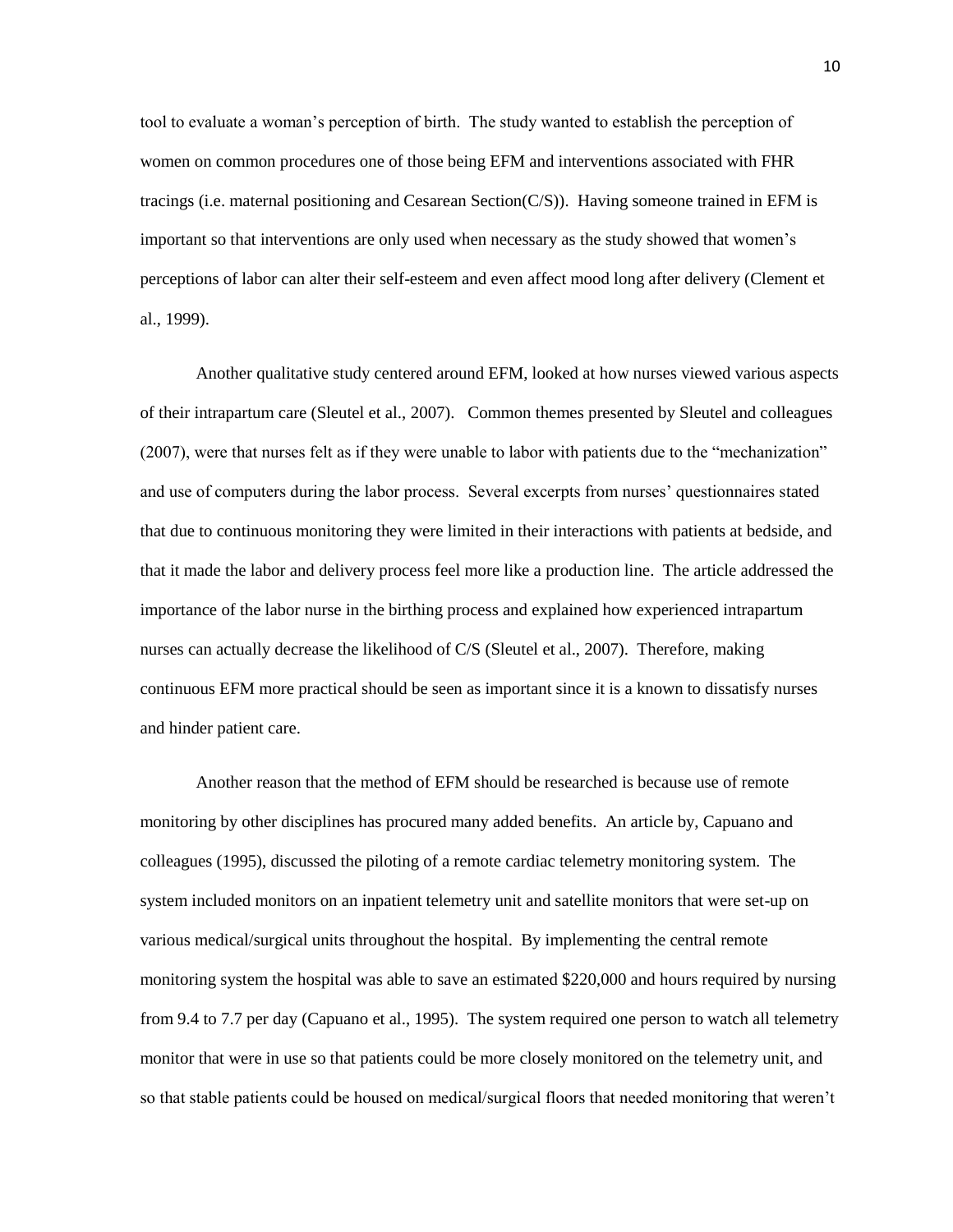tool to evaluate a woman's perception of birth. The study wanted to establish the perception of women on common procedures one of those being EFM and interventions associated with FHR tracings (i.e. maternal positioning and Cesarean Section(C/S)). Having someone trained in EFM is important so that interventions are only used when necessary as the study showed that women's perceptions of labor can alter their self-esteem and even affect mood long after delivery (Clement et al., 1999).

Another qualitative study centered around EFM, looked at how nurses viewed various aspects of their intrapartum care (Sleutel et al., 2007). Common themes presented by Sleutel and colleagues (2007), were that nurses felt as if they were unable to labor with patients due to the "mechanization" and use of computers during the labor process. Several excerpts from nurses' questionnaires stated that due to continuous monitoring they were limited in their interactions with patients at bedside, and that it made the labor and delivery process feel more like a production line. The article addressed the importance of the labor nurse in the birthing process and explained how experienced intrapartum nurses can actually decrease the likelihood of C/S (Sleutel et al., 2007). Therefore, making continuous EFM more practical should be seen as important since it is a known to dissatisfy nurses and hinder patient care.

Another reason that the method of EFM should be researched is because use of remote monitoring by other disciplines has procured many added benefits. An article by, Capuano and colleagues (1995), discussed the piloting of a remote cardiac telemetry monitoring system. The system included monitors on an inpatient telemetry unit and satellite monitors that were set-up on various medical/surgical units throughout the hospital. By implementing the central remote monitoring system the hospital was able to save an estimated \$220,000 and hours required by nursing from 9.4 to 7.7 per day (Capuano et al., 1995). The system required one person to watch all telemetry monitor that were in use so that patients could be more closely monitored on the telemetry unit, and so that stable patients could be housed on medical/surgical floors that needed monitoring that weren't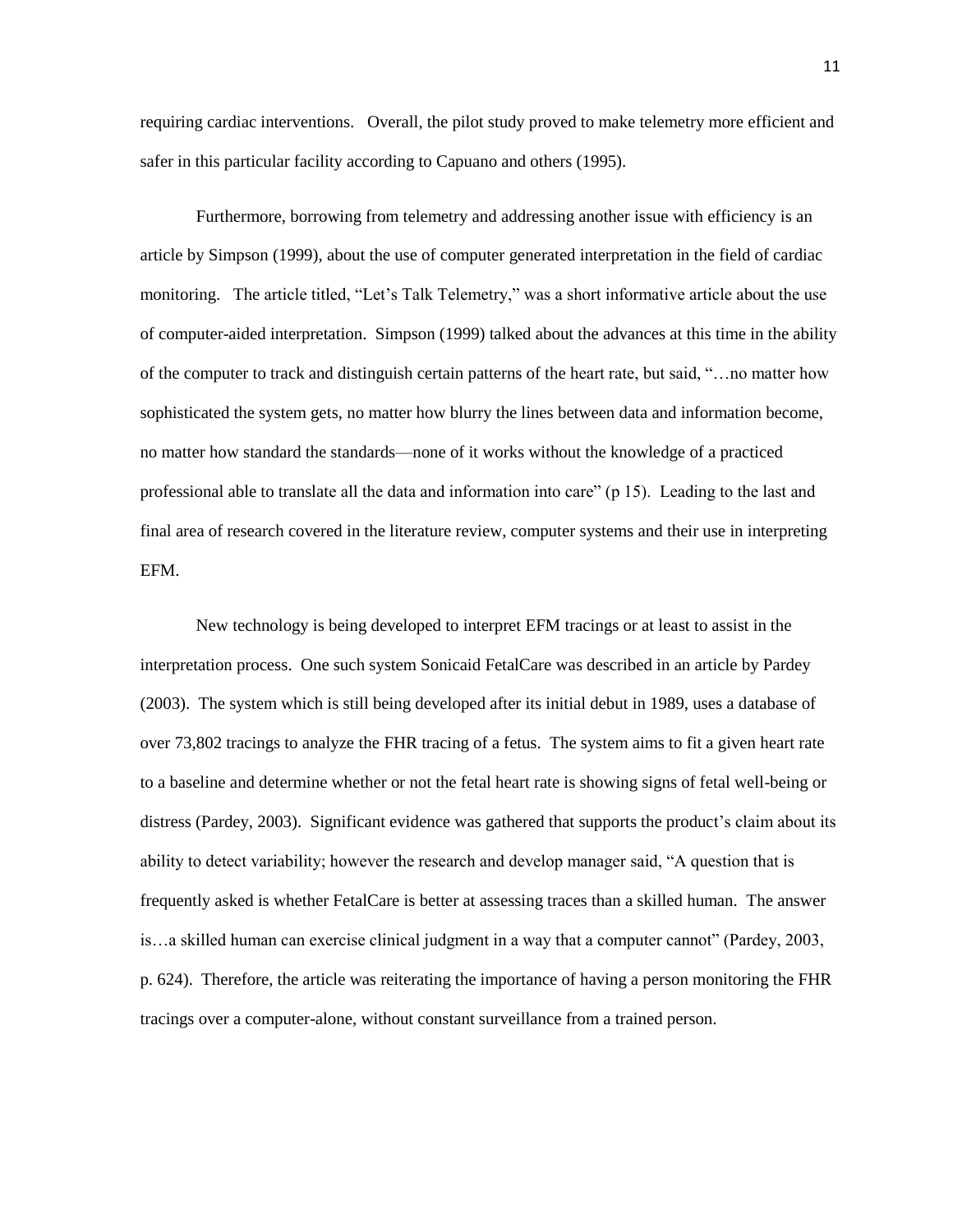requiring cardiac interventions. Overall, the pilot study proved to make telemetry more efficient and safer in this particular facility according to Capuano and others (1995).

Furthermore, borrowing from telemetry and addressing another issue with efficiency is an article by Simpson (1999), about the use of computer generated interpretation in the field of cardiac monitoring. The article titled, "Let's Talk Telemetry," was a short informative article about the use of computer-aided interpretation. Simpson (1999) talked about the advances at this time in the ability of the computer to track and distinguish certain patterns of the heart rate, but said, ―…no matter how sophisticated the system gets, no matter how blurry the lines between data and information become, no matter how standard the standards—none of it works without the knowledge of a practiced professional able to translate all the data and information into care" (p 15). Leading to the last and final area of research covered in the literature review, computer systems and their use in interpreting EFM.

New technology is being developed to interpret EFM tracings or at least to assist in the interpretation process. One such system Sonicaid FetalCare was described in an article by Pardey (2003). The system which is still being developed after its initial debut in 1989, uses a database of over 73,802 tracings to analyze the FHR tracing of a fetus. The system aims to fit a given heart rate to a baseline and determine whether or not the fetal heart rate is showing signs of fetal well-being or distress (Pardey, 2003). Significant evidence was gathered that supports the product's claim about its ability to detect variability; however the research and develop manager said, "A question that is frequently asked is whether FetalCare is better at assessing traces than a skilled human. The answer is...a skilled human can exercise clinical judgment in a way that a computer cannot" (Pardey, 2003, p. 624). Therefore, the article was reiterating the importance of having a person monitoring the FHR tracings over a computer-alone, without constant surveillance from a trained person.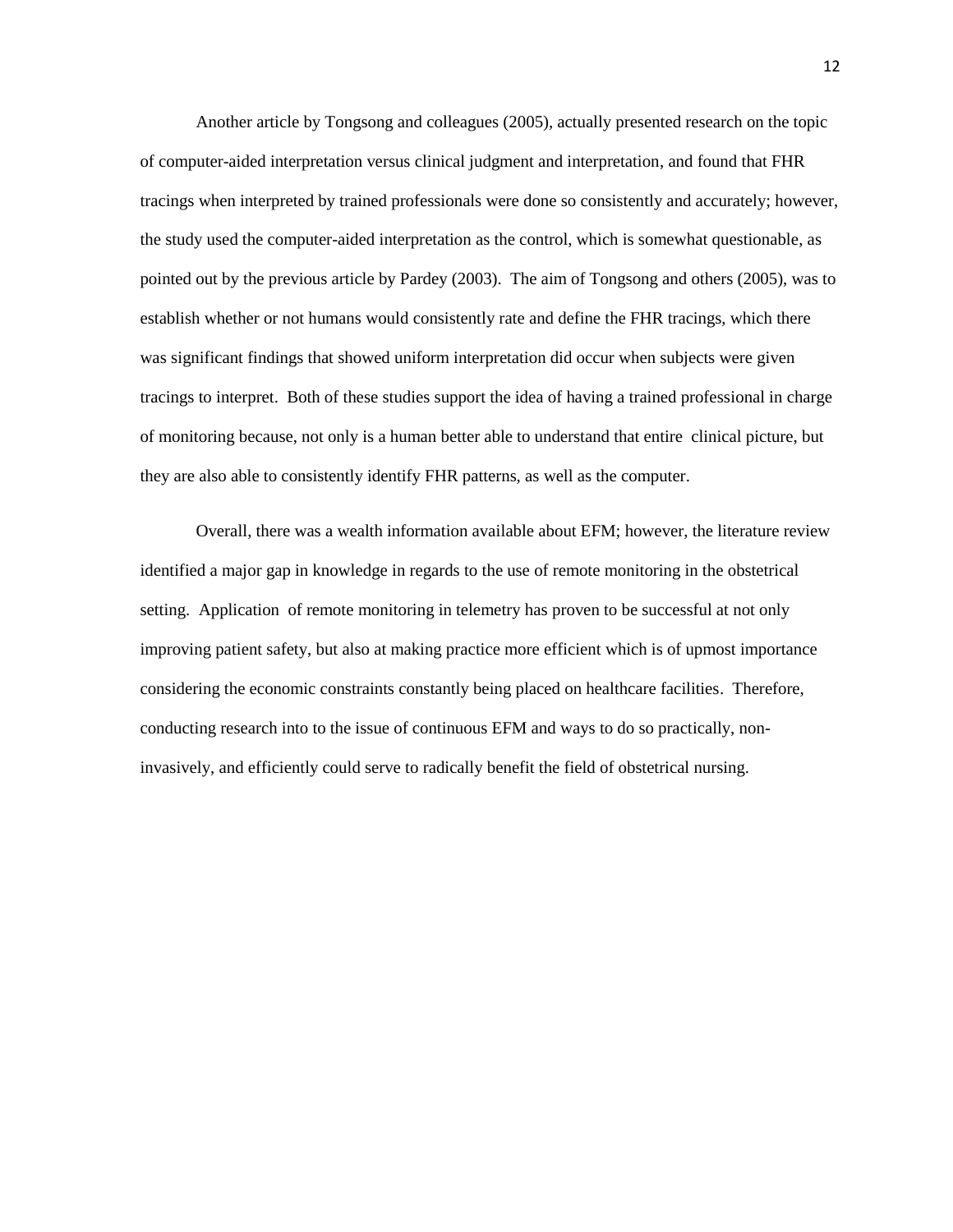Another article by Tongsong and colleagues (2005), actually presented research on the topic of computer-aided interpretation versus clinical judgment and interpretation, and found that FHR tracings when interpreted by trained professionals were done so consistently and accurately; however, the study used the computer-aided interpretation as the control, which is somewhat questionable, as pointed out by the previous article by Pardey (2003). The aim of Tongsong and others (2005), was to establish whether or not humans would consistently rate and define the FHR tracings, which there was significant findings that showed uniform interpretation did occur when subjects were given tracings to interpret. Both of these studies support the idea of having a trained professional in charge of monitoring because, not only is a human better able to understand that entire clinical picture, but they are also able to consistently identify FHR patterns, as well as the computer.

Overall, there was a wealth information available about EFM; however, the literature review identified a major gap in knowledge in regards to the use of remote monitoring in the obstetrical setting. Application of remote monitoring in telemetry has proven to be successful at not only improving patient safety, but also at making practice more efficient which is of upmost importance considering the economic constraints constantly being placed on healthcare facilities. Therefore, conducting research into to the issue of continuous EFM and ways to do so practically, noninvasively, and efficiently could serve to radically benefit the field of obstetrical nursing.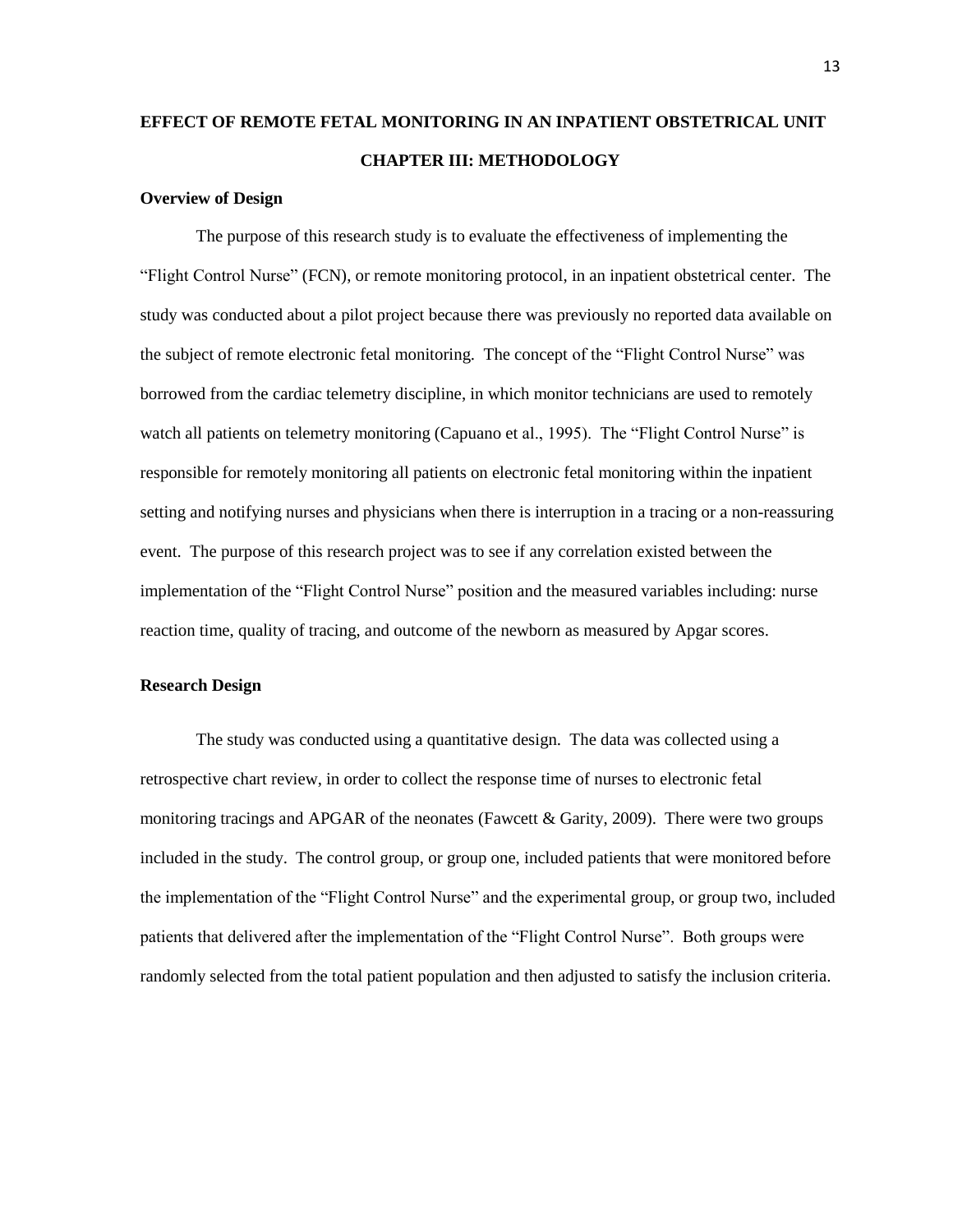## **EFFECT OF REMOTE FETAL MONITORING IN AN INPATIENT OBSTETRICAL UNIT CHAPTER III: METHODOLOGY**

#### **Overview of Design**

The purpose of this research study is to evaluate the effectiveness of implementing the ―Flight Control Nurse‖ (FCN), or remote monitoring protocol, in an inpatient obstetrical center. The study was conducted about a pilot project because there was previously no reported data available on the subject of remote electronic fetal monitoring. The concept of the "Flight Control Nurse" was borrowed from the cardiac telemetry discipline, in which monitor technicians are used to remotely watch all patients on telemetry monitoring (Capuano et al., 1995). The "Flight Control Nurse" is responsible for remotely monitoring all patients on electronic fetal monitoring within the inpatient setting and notifying nurses and physicians when there is interruption in a tracing or a non-reassuring event. The purpose of this research project was to see if any correlation existed between the implementation of the "Flight Control Nurse" position and the measured variables including: nurse reaction time, quality of tracing, and outcome of the newborn as measured by Apgar scores.

#### **Research Design**

The study was conducted using a quantitative design. The data was collected using a retrospective chart review, in order to collect the response time of nurses to electronic fetal monitoring tracings and APGAR of the neonates (Fawcett & Garity, 2009). There were two groups included in the study. The control group, or group one, included patients that were monitored before the implementation of the "Flight Control Nurse" and the experimental group, or group two, included patients that delivered after the implementation of the "Flight Control Nurse". Both groups were randomly selected from the total patient population and then adjusted to satisfy the inclusion criteria.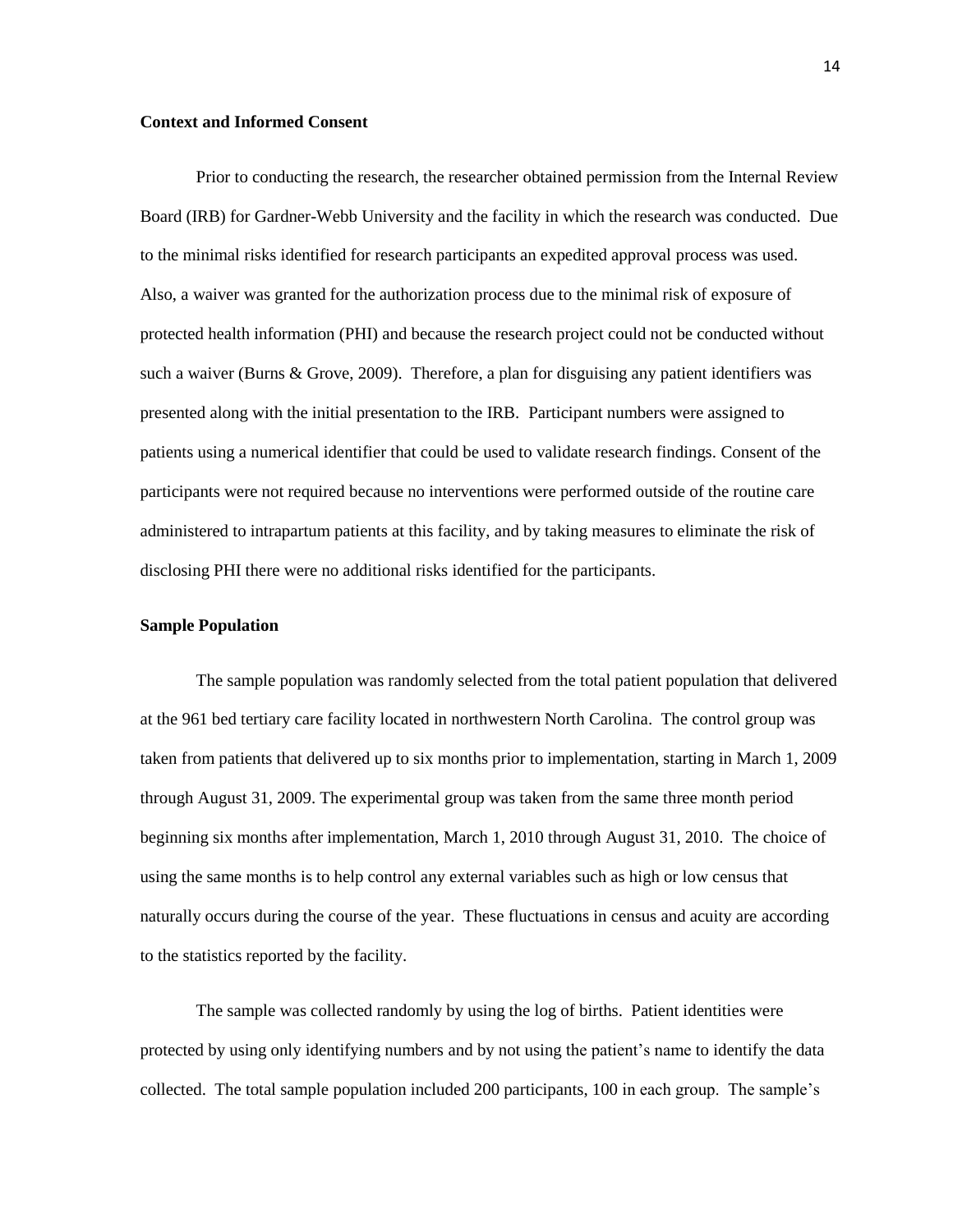#### **Context and Informed Consent**

Prior to conducting the research, the researcher obtained permission from the Internal Review Board (IRB) for Gardner-Webb University and the facility in which the research was conducted. Due to the minimal risks identified for research participants an expedited approval process was used. Also, a waiver was granted for the authorization process due to the minimal risk of exposure of protected health information (PHI) and because the research project could not be conducted without such a waiver (Burns & Grove, 2009). Therefore, a plan for disguising any patient identifiers was presented along with the initial presentation to the IRB. Participant numbers were assigned to patients using a numerical identifier that could be used to validate research findings. Consent of the participants were not required because no interventions were performed outside of the routine care administered to intrapartum patients at this facility, and by taking measures to eliminate the risk of disclosing PHI there were no additional risks identified for the participants.

#### **Sample Population**

The sample population was randomly selected from the total patient population that delivered at the 961 bed tertiary care facility located in northwestern North Carolina. The control group was taken from patients that delivered up to six months prior to implementation, starting in March 1, 2009 through August 31, 2009. The experimental group was taken from the same three month period beginning six months after implementation, March 1, 2010 through August 31, 2010. The choice of using the same months is to help control any external variables such as high or low census that naturally occurs during the course of the year. These fluctuations in census and acuity are according to the statistics reported by the facility.

The sample was collected randomly by using the log of births. Patient identities were protected by using only identifying numbers and by not using the patient's name to identify the data collected. The total sample population included 200 participants, 100 in each group. The sample's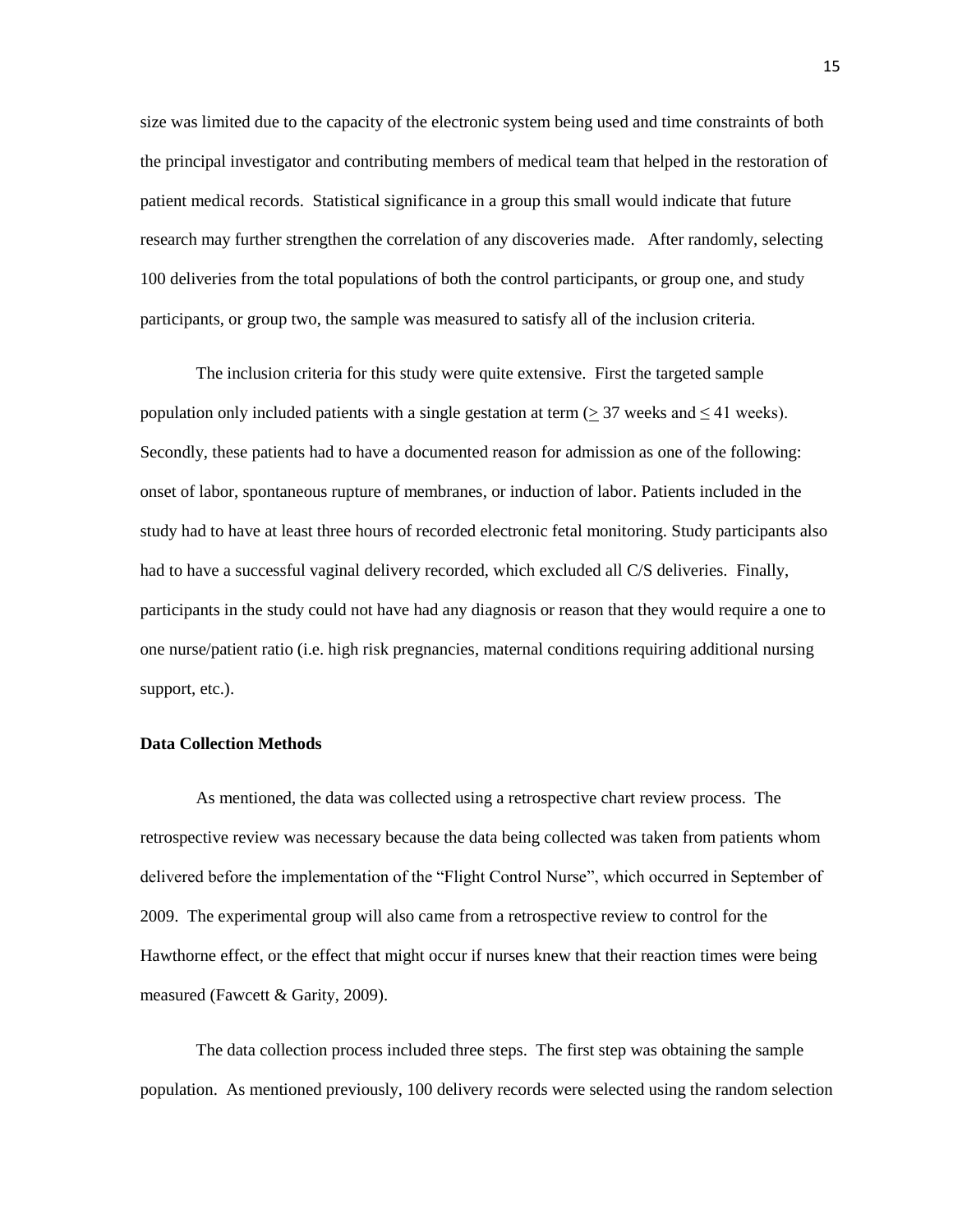size was limited due to the capacity of the electronic system being used and time constraints of both the principal investigator and contributing members of medical team that helped in the restoration of patient medical records. Statistical significance in a group this small would indicate that future research may further strengthen the correlation of any discoveries made. After randomly, selecting 100 deliveries from the total populations of both the control participants, or group one, and study participants, or group two, the sample was measured to satisfy all of the inclusion criteria.

The inclusion criteria for this study were quite extensive. First the targeted sample population only included patients with a single gestation at term ( $>$ 37 weeks and  $\leq$ 41 weeks). Secondly, these patients had to have a documented reason for admission as one of the following: onset of labor, spontaneous rupture of membranes, or induction of labor. Patients included in the study had to have at least three hours of recorded electronic fetal monitoring. Study participants also had to have a successful vaginal delivery recorded, which excluded all C/S deliveries. Finally, participants in the study could not have had any diagnosis or reason that they would require a one to one nurse/patient ratio (i.e. high risk pregnancies, maternal conditions requiring additional nursing support, etc.).

#### **Data Collection Methods**

As mentioned, the data was collected using a retrospective chart review process. The retrospective review was necessary because the data being collected was taken from patients whom delivered before the implementation of the "Flight Control Nurse", which occurred in September of 2009. The experimental group will also came from a retrospective review to control for the Hawthorne effect, or the effect that might occur if nurses knew that their reaction times were being measured (Fawcett & Garity, 2009).

The data collection process included three steps. The first step was obtaining the sample population. As mentioned previously, 100 delivery records were selected using the random selection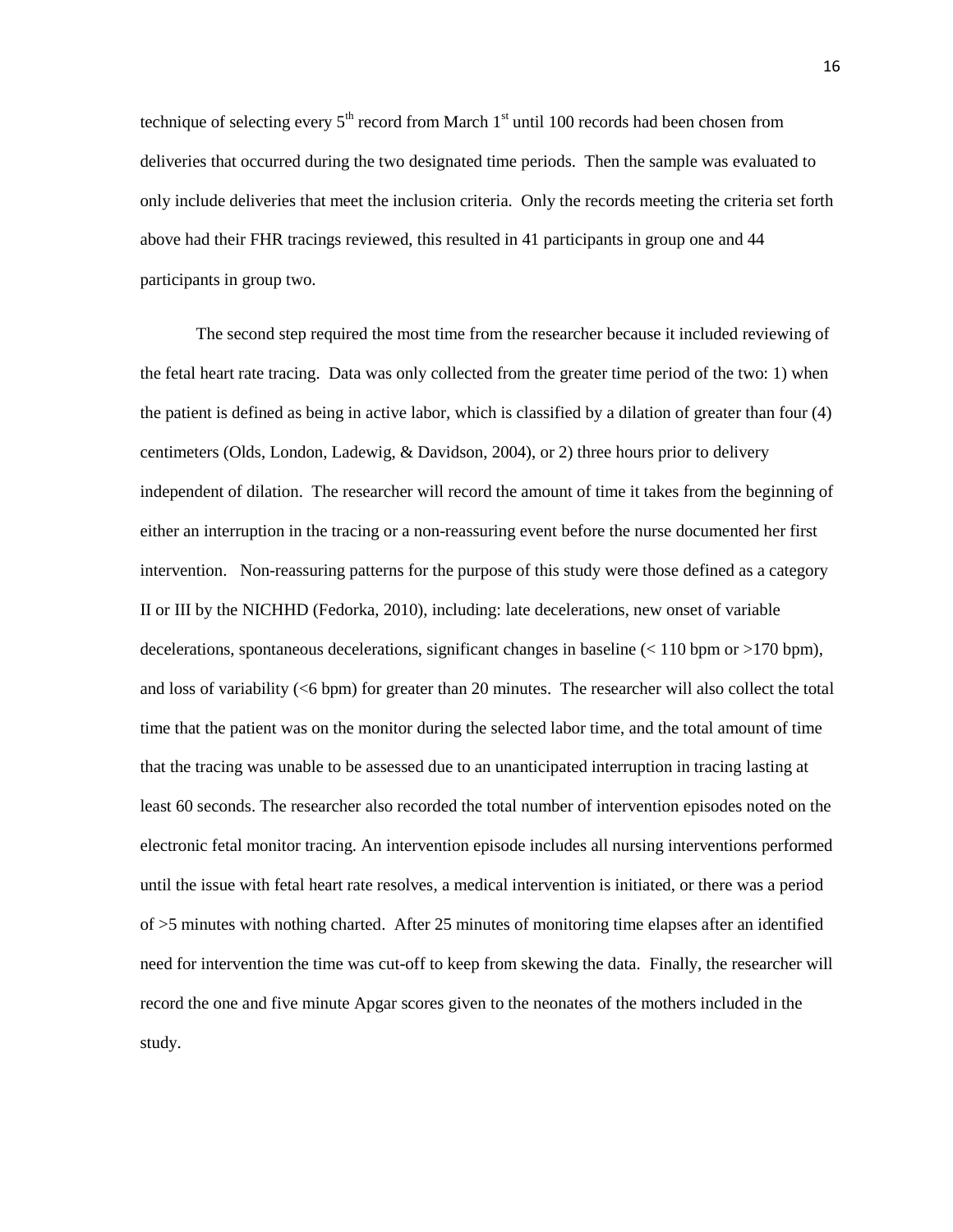technique of selecting every  $5<sup>th</sup>$  record from March  $1<sup>st</sup>$  until 100 records had been chosen from deliveries that occurred during the two designated time periods. Then the sample was evaluated to only include deliveries that meet the inclusion criteria. Only the records meeting the criteria set forth above had their FHR tracings reviewed, this resulted in 41 participants in group one and 44 participants in group two.

The second step required the most time from the researcher because it included reviewing of the fetal heart rate tracing. Data was only collected from the greater time period of the two: 1) when the patient is defined as being in active labor, which is classified by a dilation of greater than four (4) centimeters (Olds, London, Ladewig, & Davidson, 2004), or 2) three hours prior to delivery independent of dilation. The researcher will record the amount of time it takes from the beginning of either an interruption in the tracing or a non-reassuring event before the nurse documented her first intervention. Non-reassuring patterns for the purpose of this study were those defined as a category II or III by the NICHHD (Fedorka, 2010), including: late decelerations, new onset of variable decelerations, spontaneous decelerations, significant changes in baseline  $\approx$  110 bpm or  $>$ 170 bpm), and loss of variability (<6 bpm) for greater than 20 minutes. The researcher will also collect the total time that the patient was on the monitor during the selected labor time, and the total amount of time that the tracing was unable to be assessed due to an unanticipated interruption in tracing lasting at least 60 seconds. The researcher also recorded the total number of intervention episodes noted on the electronic fetal monitor tracing. An intervention episode includes all nursing interventions performed until the issue with fetal heart rate resolves, a medical intervention is initiated, or there was a period of >5 minutes with nothing charted. After 25 minutes of monitoring time elapses after an identified need for intervention the time was cut-off to keep from skewing the data. Finally, the researcher will record the one and five minute Apgar scores given to the neonates of the mothers included in the study.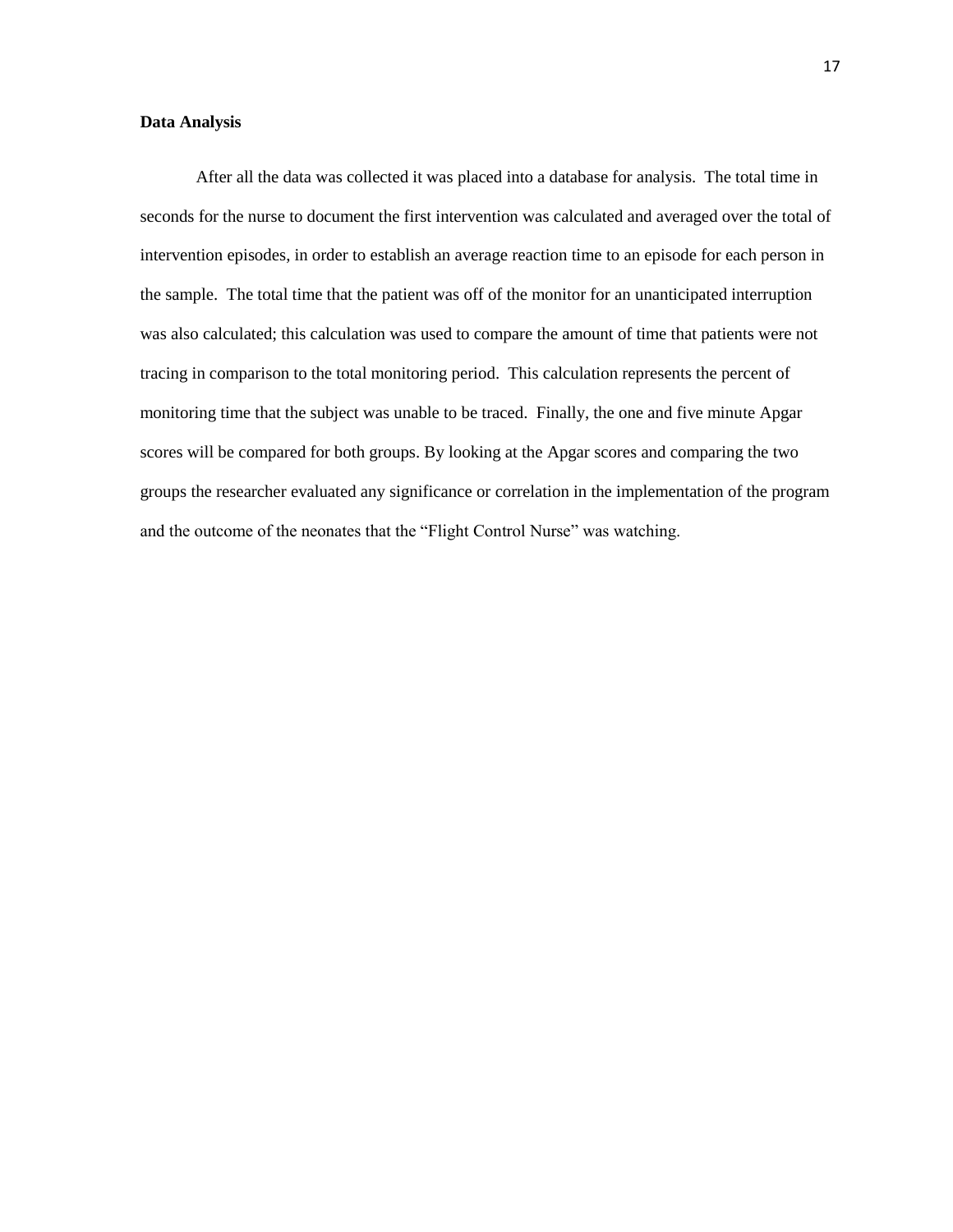#### **Data Analysis**

After all the data was collected it was placed into a database for analysis. The total time in seconds for the nurse to document the first intervention was calculated and averaged over the total of intervention episodes, in order to establish an average reaction time to an episode for each person in the sample. The total time that the patient was off of the monitor for an unanticipated interruption was also calculated; this calculation was used to compare the amount of time that patients were not tracing in comparison to the total monitoring period. This calculation represents the percent of monitoring time that the subject was unable to be traced. Finally, the one and five minute Apgar scores will be compared for both groups. By looking at the Apgar scores and comparing the two groups the researcher evaluated any significance or correlation in the implementation of the program and the outcome of the neonates that the "Flight Control Nurse" was watching.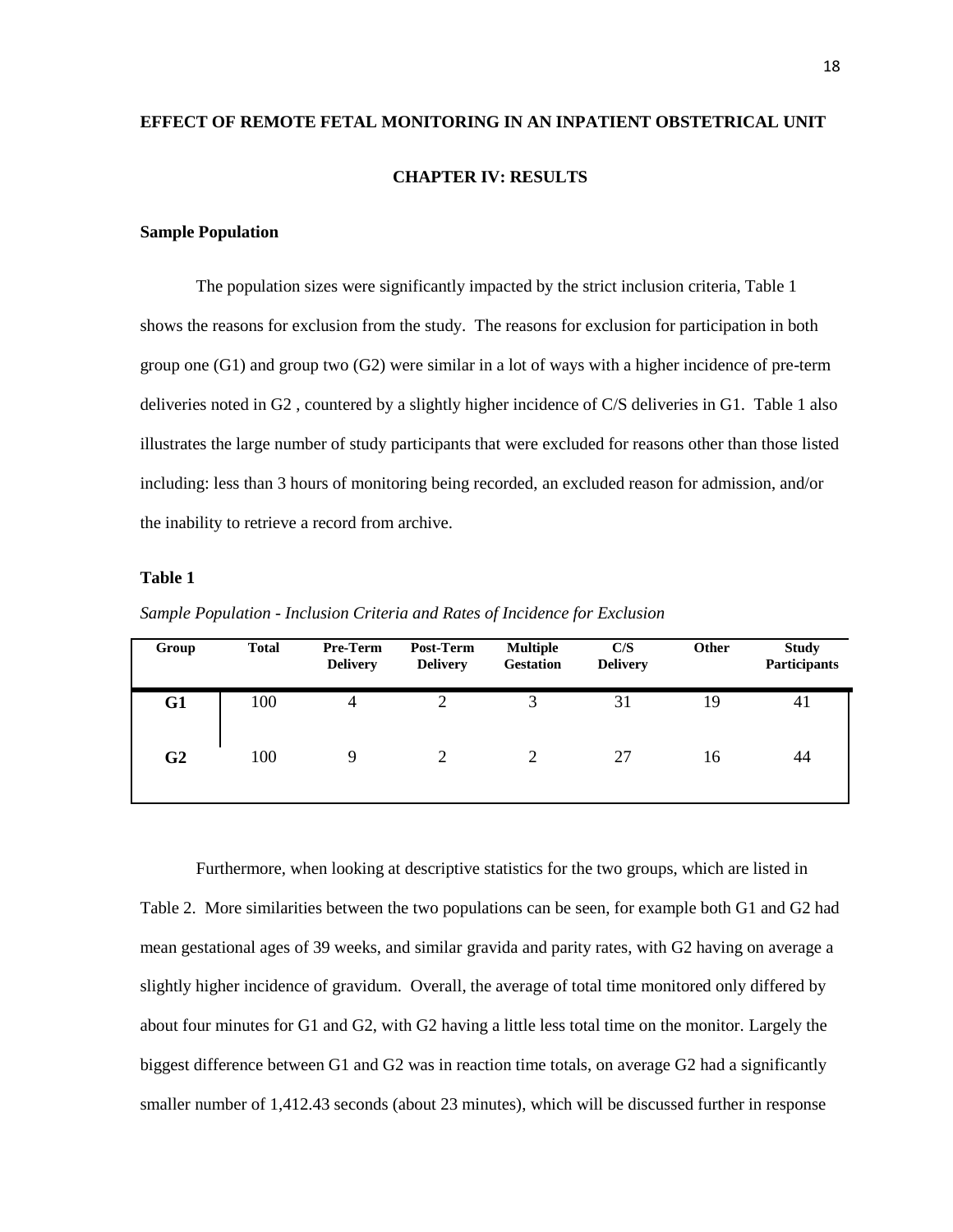# **EFFECT OF REMOTE FETAL MONITORING IN AN INPATIENT OBSTETRICAL UNIT CHAPTER IV: RESULTS**

#### **Sample Population**

The population sizes were significantly impacted by the strict inclusion criteria, Table 1 shows the reasons for exclusion from the study. The reasons for exclusion for participation in both group one (G1) and group two (G2) were similar in a lot of ways with a higher incidence of pre-term deliveries noted in G2 , countered by a slightly higher incidence of C/S deliveries in G1. Table 1 also illustrates the large number of study participants that were excluded for reasons other than those listed including: less than 3 hours of monitoring being recorded, an excluded reason for admission, and/or the inability to retrieve a record from archive.

#### **Table 1**

| Group          | <b>Total</b> | <b>Pre-Term</b><br><b>Delivery</b> | Post-Term<br><b>Delivery</b> | <b>Multiple</b><br><b>Gestation</b> | C/S<br><b>Delivery</b> | <b>Other</b> | <b>Study</b><br>Participants |
|----------------|--------------|------------------------------------|------------------------------|-------------------------------------|------------------------|--------------|------------------------------|
| G1             | 100          | $\overline{4}$                     |                              | 3                                   | 31                     | 19           | 41                           |
| G <sub>2</sub> | 100          | $\mathbf Q$                        |                              | 2                                   | 27                     | 16           | 44                           |

*Sample Population - Inclusion Criteria and Rates of Incidence for Exclusion*

Furthermore, when looking at descriptive statistics for the two groups, which are listed in Table 2. More similarities between the two populations can be seen, for example both G1 and G2 had mean gestational ages of 39 weeks, and similar gravida and parity rates, with G2 having on average a slightly higher incidence of gravidum. Overall, the average of total time monitored only differed by about four minutes for G1 and G2, with G2 having a little less total time on the monitor. Largely the biggest difference between G1 and G2 was in reaction time totals, on average G2 had a significantly smaller number of 1,412.43 seconds (about 23 minutes), which will be discussed further in response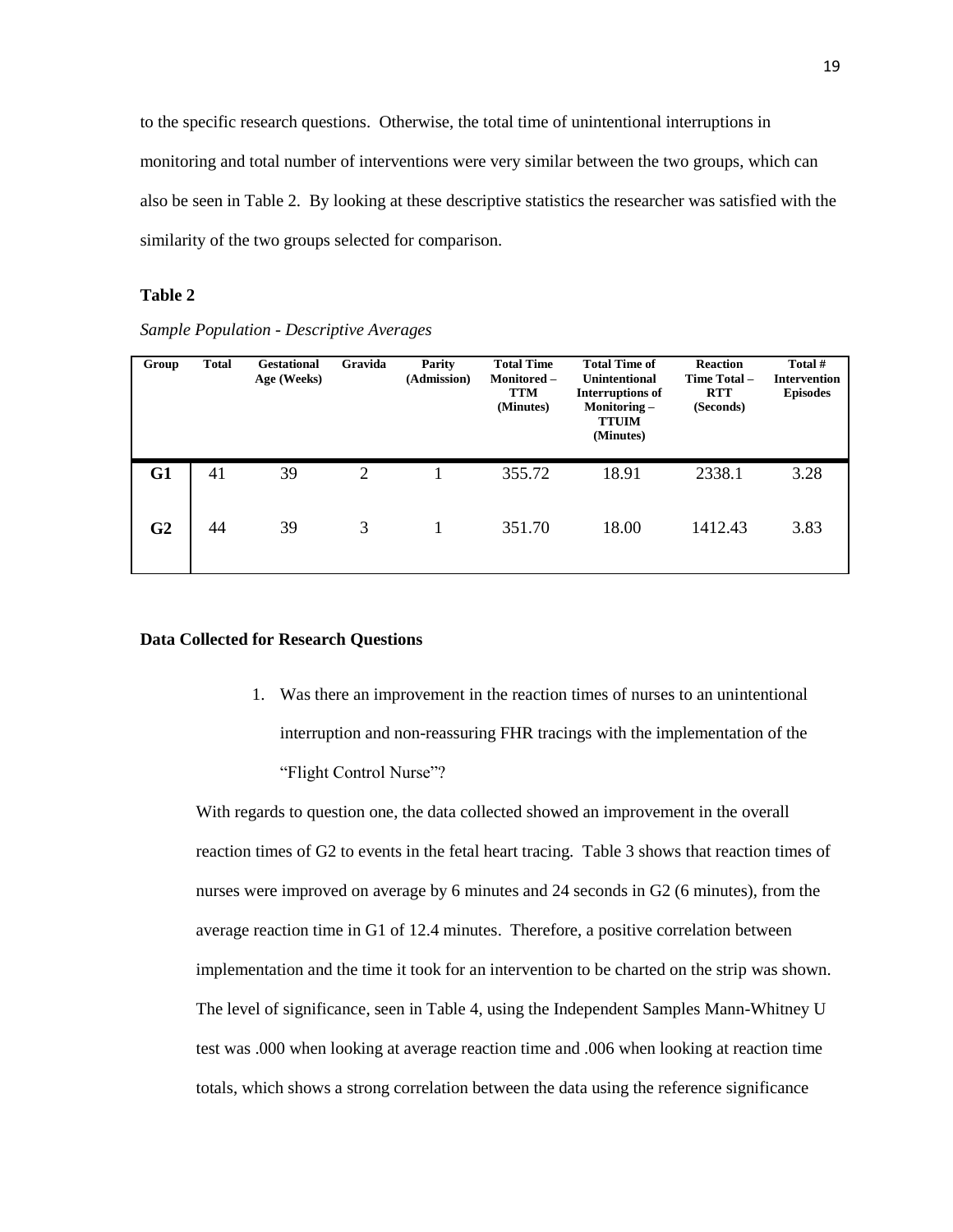to the specific research questions. Otherwise, the total time of unintentional interruptions in monitoring and total number of interventions were very similar between the two groups, which can also be seen in Table 2. By looking at these descriptive statistics the researcher was satisfied with the similarity of the two groups selected for comparison.

#### **Table 2**

*Sample Population - Descriptive Averages*

| Group          | <b>Total</b> | <b>Gestational</b><br>Age (Weeks) | Gravida        | Parity<br>(Admission) | <b>Total Time</b><br>Monitored-<br><b>TTM</b><br>(Minutes) | <b>Total Time of</b><br><b>Unintentional</b><br><b>Interruptions of</b><br>Monitoring-<br><b>TTUIM</b><br>(Minutes) | <b>Reaction</b><br>Time Total-<br><b>RTT</b><br>(Seconds) | Total #<br><b>Intervention</b><br><b>Episodes</b> |
|----------------|--------------|-----------------------------------|----------------|-----------------------|------------------------------------------------------------|---------------------------------------------------------------------------------------------------------------------|-----------------------------------------------------------|---------------------------------------------------|
| G1             | 41           | 39                                | $\overline{2}$ |                       | 355.72                                                     | 18.91                                                                                                               | 2338.1                                                    | 3.28                                              |
| G <sub>2</sub> | 44           | 39                                | 3              |                       | 351.70                                                     | 18.00                                                                                                               | 1412.43                                                   | 3.83                                              |

#### **Data Collected for Research Questions**

1. Was there an improvement in the reaction times of nurses to an unintentional interruption and non-reassuring FHR tracings with the implementation of the "Flight Control Nurse"?

With regards to question one, the data collected showed an improvement in the overall reaction times of G2 to events in the fetal heart tracing. Table 3 shows that reaction times of nurses were improved on average by 6 minutes and 24 seconds in G2 (6 minutes), from the average reaction time in G1 of 12.4 minutes. Therefore, a positive correlation between implementation and the time it took for an intervention to be charted on the strip was shown. The level of significance, seen in Table 4, using the Independent Samples Mann-Whitney U test was .000 when looking at average reaction time and .006 when looking at reaction time totals, which shows a strong correlation between the data using the reference significance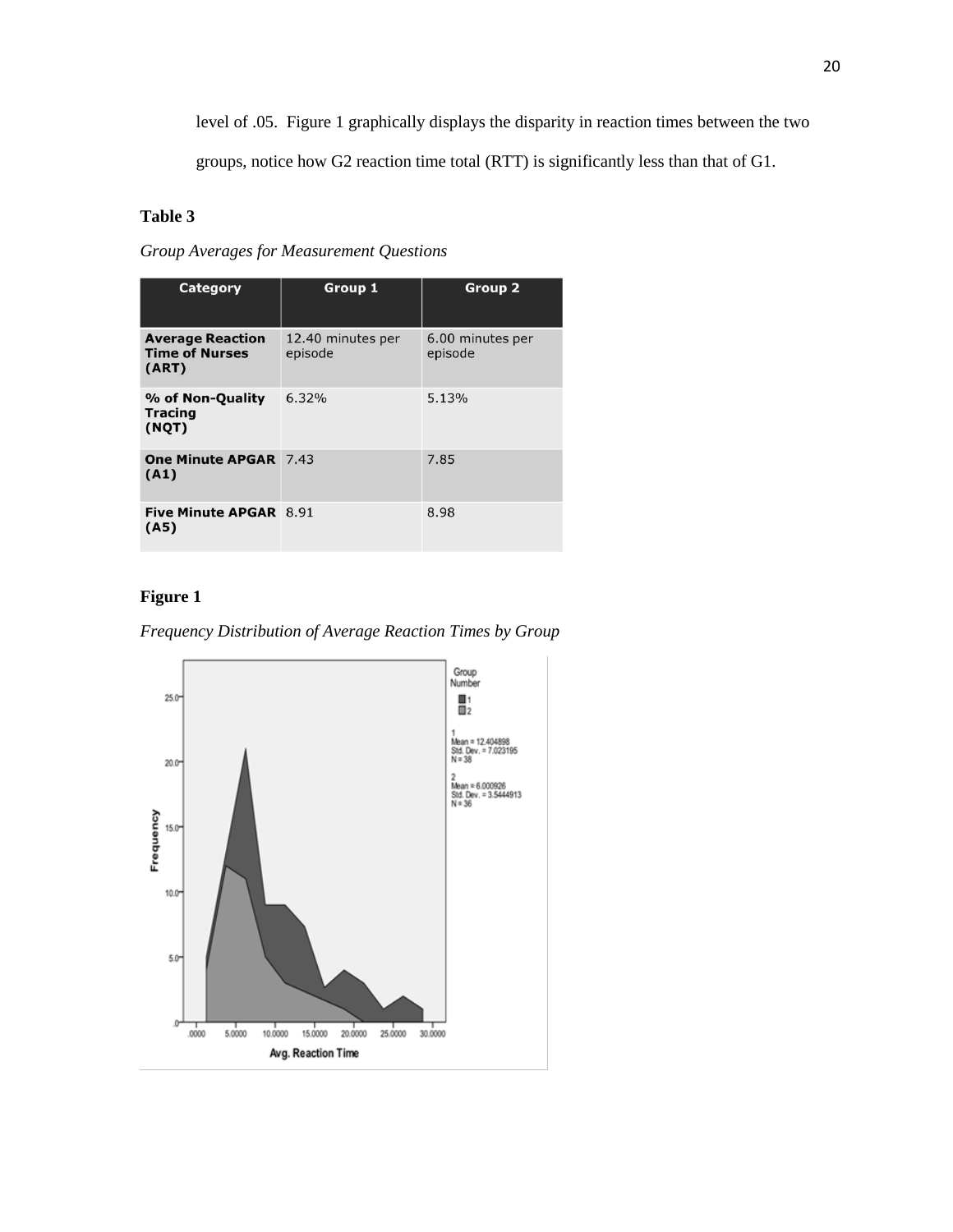level of .05. Figure 1 graphically displays the disparity in reaction times between the two

groups, notice how G2 reaction time total (RTT) is significantly less than that of G1.

### **Table 3**

*Group Averages for Measurement Questions*

| Category                                                  | Group 1                      | <b>Group 2</b>              |
|-----------------------------------------------------------|------------------------------|-----------------------------|
| <b>Average Reaction</b><br><b>Time of Nurses</b><br>(ART) | 12.40 minutes per<br>episode | 6.00 minutes per<br>episode |
| % of Non-Quality<br><b>Tracing</b><br>(NQT)               | 6.32%                        | 5.13%                       |
| <b>One Minute APGAR 7.43</b><br>(A1)                      |                              | 7.85                        |
| Five Minute APGAR 8.91<br>(A5)                            |                              | 8.98                        |

### **Figure 1**

*Frequency Distribution of Average Reaction Times by Group*

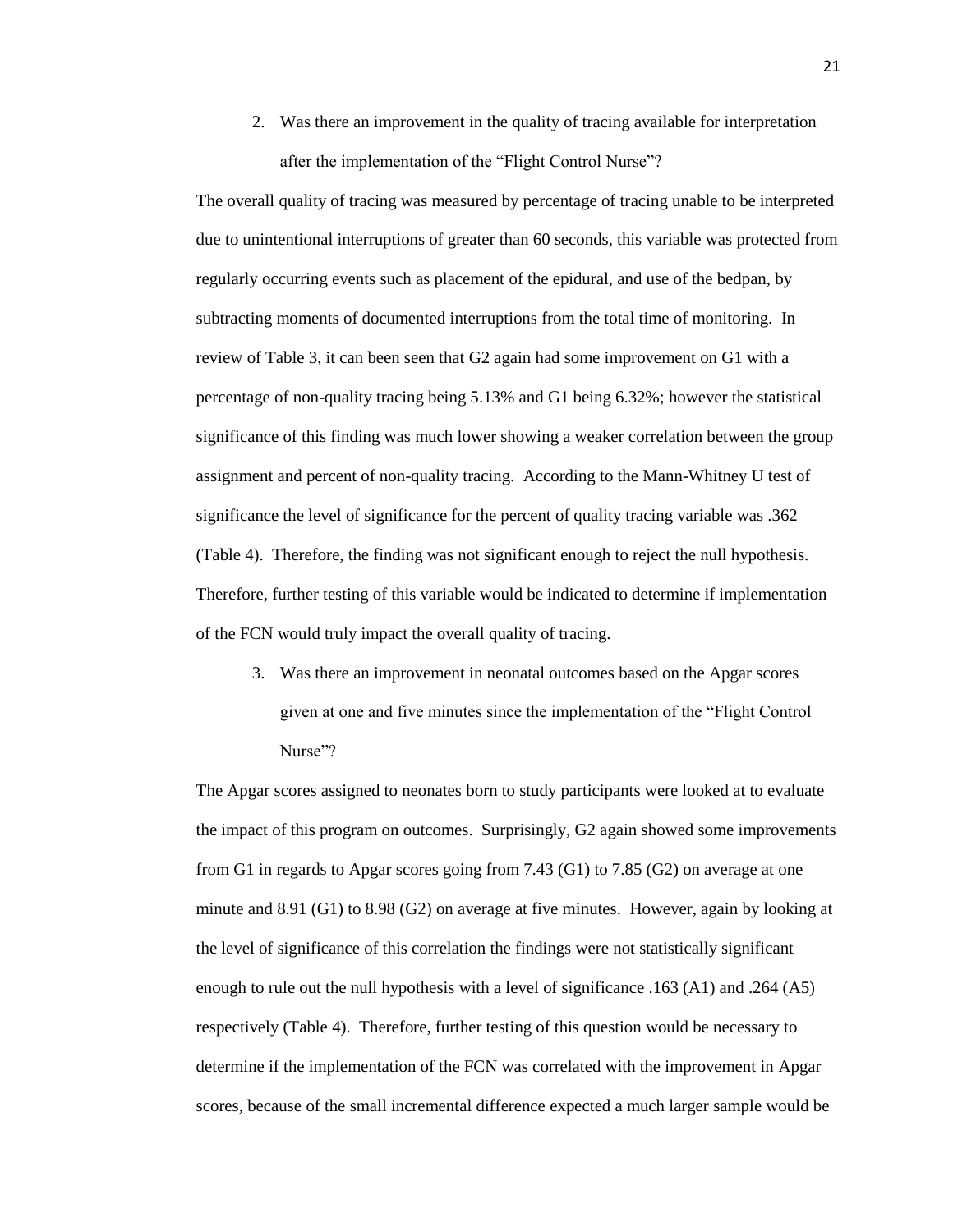2. Was there an improvement in the quality of tracing available for interpretation after the implementation of the "Flight Control Nurse"?

The overall quality of tracing was measured by percentage of tracing unable to be interpreted due to unintentional interruptions of greater than 60 seconds, this variable was protected from regularly occurring events such as placement of the epidural, and use of the bedpan, by subtracting moments of documented interruptions from the total time of monitoring. In review of Table 3, it can been seen that G2 again had some improvement on G1 with a percentage of non-quality tracing being 5.13% and G1 being 6.32%; however the statistical significance of this finding was much lower showing a weaker correlation between the group assignment and percent of non-quality tracing. According to the Mann-Whitney U test of significance the level of significance for the percent of quality tracing variable was .362 (Table 4). Therefore, the finding was not significant enough to reject the null hypothesis. Therefore, further testing of this variable would be indicated to determine if implementation of the FCN would truly impact the overall quality of tracing.

3. Was there an improvement in neonatal outcomes based on the Apgar scores given at one and five minutes since the implementation of the "Flight Control" Nurse"?

The Apgar scores assigned to neonates born to study participants were looked at to evaluate the impact of this program on outcomes. Surprisingly, G2 again showed some improvements from G1 in regards to Apgar scores going from 7.43 (G1) to 7.85 (G2) on average at one minute and 8.91 (G1) to 8.98 (G2) on average at five minutes. However, again by looking at the level of significance of this correlation the findings were not statistically significant enough to rule out the null hypothesis with a level of significance .163 (A1) and .264 (A5) respectively (Table 4). Therefore, further testing of this question would be necessary to determine if the implementation of the FCN was correlated with the improvement in Apgar scores, because of the small incremental difference expected a much larger sample would be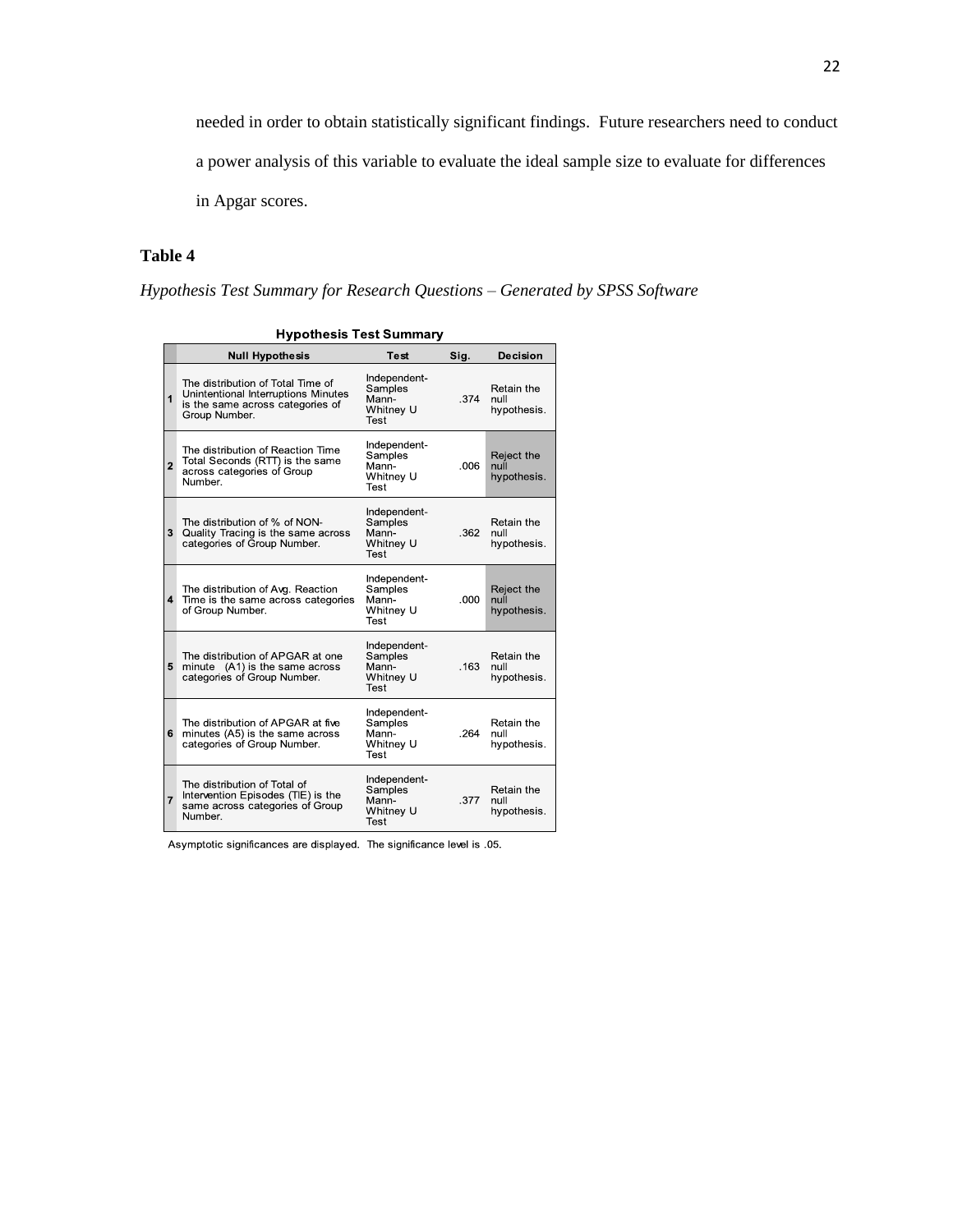needed in order to obtain statistically significant findings. Future researchers need to conduct a power analysis of this variable to evaluate the ideal sample size to evaluate for differences in Apgar scores.

#### **Table 4**

*Hypothesis Test Summary for Research Questions – Generated by SPSS Software*

|                | <b>Null Hypothesis</b>                                                                                                        | Test                                                  | Sig. | Decision                          |
|----------------|-------------------------------------------------------------------------------------------------------------------------------|-------------------------------------------------------|------|-----------------------------------|
| 1              | The distribution of Total Time of<br>Unintentional Interruptions Minutes<br>is the same across categories of<br>Group Number. | Independent-<br>Samples<br>Mann-<br>Whitney U<br>Test | .374 | Retain the<br>null<br>hypothesis. |
| $\overline{2}$ | The distribution of Reaction Time<br>Total Seconds (RTT) is the same<br>across categories of Group<br>Number.                 | Independent-<br>Samples<br>Mann-<br>Whitney U<br>Test | .006 | Reject the<br>null<br>hypothesis. |
| 3              | The distribution of % of NON-<br>Quality Tracing is the same across<br>categories of Group Number.                            | Independent-<br>Samples<br>Mann-<br>Whitney U<br>Test | .362 | Retain the<br>null<br>hypothesis. |
| 4              | The distribution of Avg. Reaction<br>Time is the same across categories<br>of Group Number.                                   | Independent-<br>Samples<br>Mann-<br>Whitney U<br>Test | .000 | Reject the<br>null<br>hypothesis. |
| 5              | The distribution of APGAR at one<br>minute (A1) is the same across<br>categories of Group Number.                             | Independent-<br>Samples<br>Mann-<br>Whitney U<br>Test | .163 | Retain the<br>null<br>hypothesis. |
| 6              | The distribution of APGAR at five<br>minutes (A5) is the same across<br>categories of Group Number.                           | Independent-<br>Samples<br>Mann-<br>Whitney U<br>Test | .264 | Retain the<br>null<br>hypothesis. |
| $\overline{7}$ | The distribution of Total of<br>Intervention Episodes (TIE) is the<br>same across categories of Group<br>Number.              | Independent-<br>Samples<br>Mann-<br>Whitney U<br>Test | .377 | Retain the<br>null<br>hypothesis. |

| <b>Hypothesis Test Summary</b> |
|--------------------------------|

Asymptotic significances are displayed. The significance level is .05.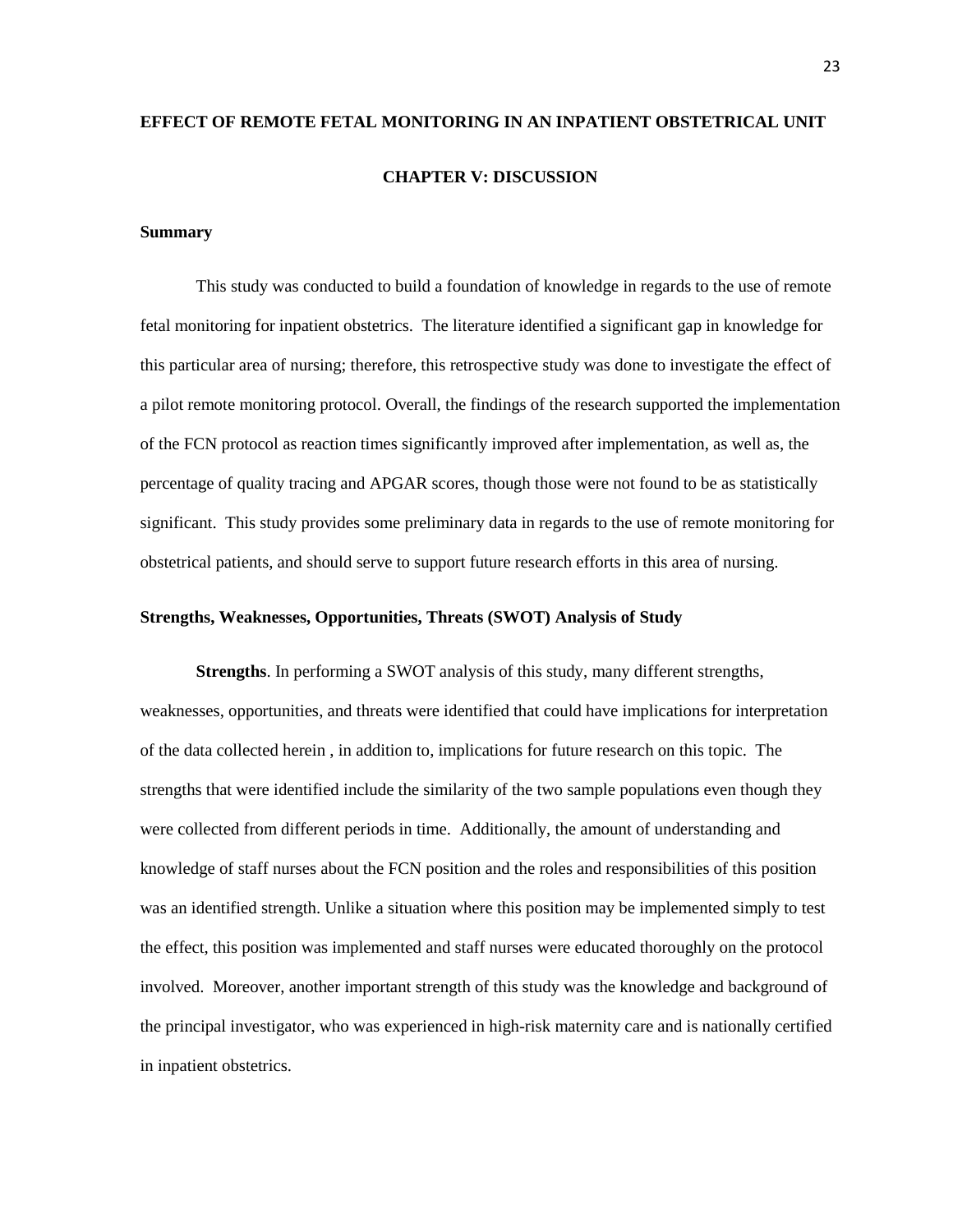# **EFFECT OF REMOTE FETAL MONITORING IN AN INPATIENT OBSTETRICAL UNIT CHAPTER V: DISCUSSION**

#### **Summary**

This study was conducted to build a foundation of knowledge in regards to the use of remote fetal monitoring for inpatient obstetrics. The literature identified a significant gap in knowledge for this particular area of nursing; therefore, this retrospective study was done to investigate the effect of a pilot remote monitoring protocol. Overall, the findings of the research supported the implementation of the FCN protocol as reaction times significantly improved after implementation, as well as, the percentage of quality tracing and APGAR scores, though those were not found to be as statistically significant. This study provides some preliminary data in regards to the use of remote monitoring for obstetrical patients, and should serve to support future research efforts in this area of nursing.

#### **Strengths, Weaknesses, Opportunities, Threats (SWOT) Analysis of Study**

**Strengths**. In performing a SWOT analysis of this study, many different strengths, weaknesses, opportunities, and threats were identified that could have implications for interpretation of the data collected herein , in addition to, implications for future research on this topic. The strengths that were identified include the similarity of the two sample populations even though they were collected from different periods in time. Additionally, the amount of understanding and knowledge of staff nurses about the FCN position and the roles and responsibilities of this position was an identified strength. Unlike a situation where this position may be implemented simply to test the effect, this position was implemented and staff nurses were educated thoroughly on the protocol involved. Moreover, another important strength of this study was the knowledge and background of the principal investigator, who was experienced in high-risk maternity care and is nationally certified in inpatient obstetrics.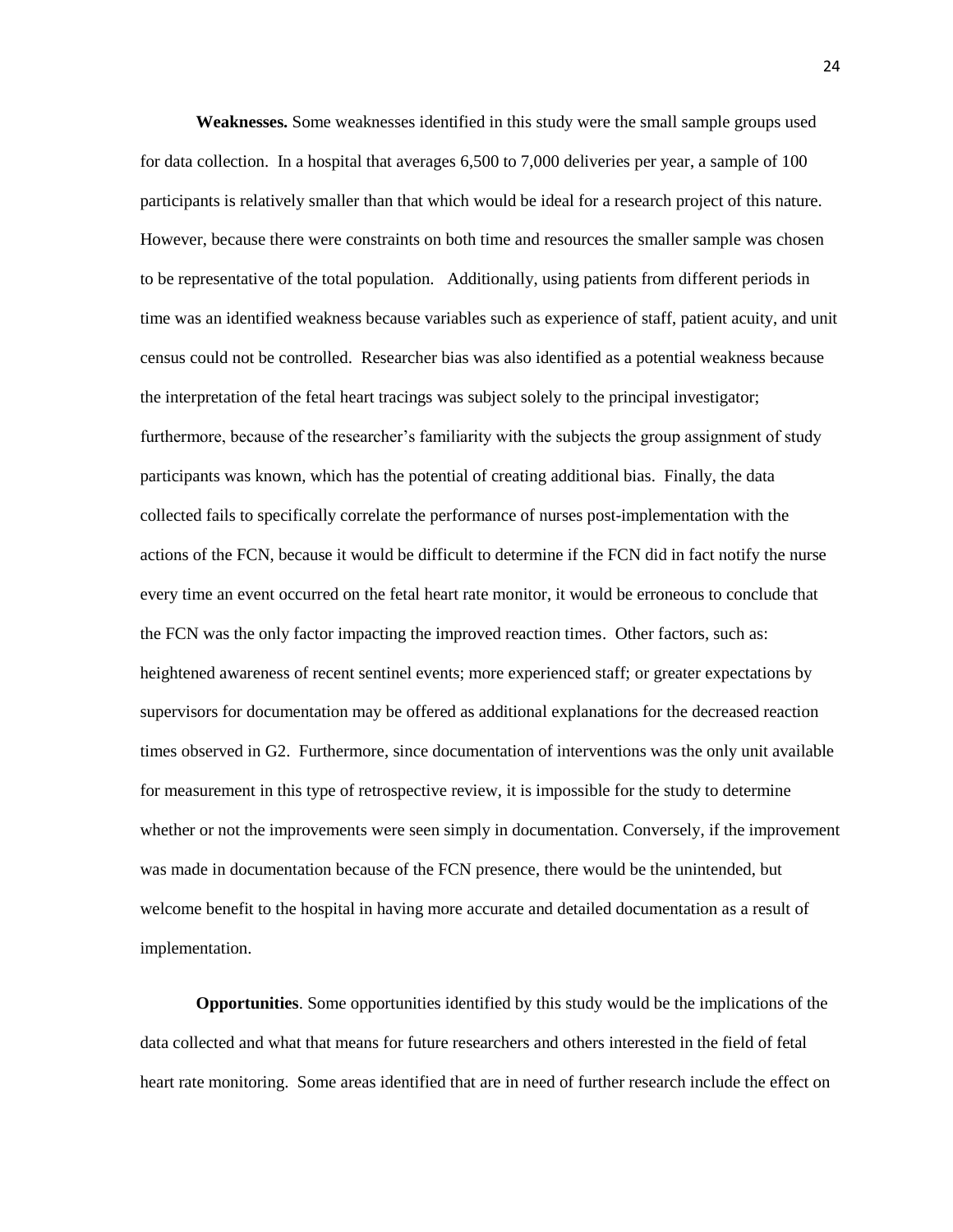**Weaknesses.** Some weaknesses identified in this study were the small sample groups used for data collection. In a hospital that averages 6,500 to 7,000 deliveries per year, a sample of 100 participants is relatively smaller than that which would be ideal for a research project of this nature. However, because there were constraints on both time and resources the smaller sample was chosen to be representative of the total population. Additionally, using patients from different periods in time was an identified weakness because variables such as experience of staff, patient acuity, and unit census could not be controlled. Researcher bias was also identified as a potential weakness because the interpretation of the fetal heart tracings was subject solely to the principal investigator; furthermore, because of the researcher's familiarity with the subjects the group assignment of study participants was known, which has the potential of creating additional bias. Finally, the data collected fails to specifically correlate the performance of nurses post-implementation with the actions of the FCN, because it would be difficult to determine if the FCN did in fact notify the nurse every time an event occurred on the fetal heart rate monitor, it would be erroneous to conclude that the FCN was the only factor impacting the improved reaction times. Other factors, such as: heightened awareness of recent sentinel events; more experienced staff; or greater expectations by supervisors for documentation may be offered as additional explanations for the decreased reaction times observed in G2. Furthermore, since documentation of interventions was the only unit available for measurement in this type of retrospective review, it is impossible for the study to determine whether or not the improvements were seen simply in documentation. Conversely, if the improvement was made in documentation because of the FCN presence, there would be the unintended, but welcome benefit to the hospital in having more accurate and detailed documentation as a result of implementation.

**Opportunities**. Some opportunities identified by this study would be the implications of the data collected and what that means for future researchers and others interested in the field of fetal heart rate monitoring. Some areas identified that are in need of further research include the effect on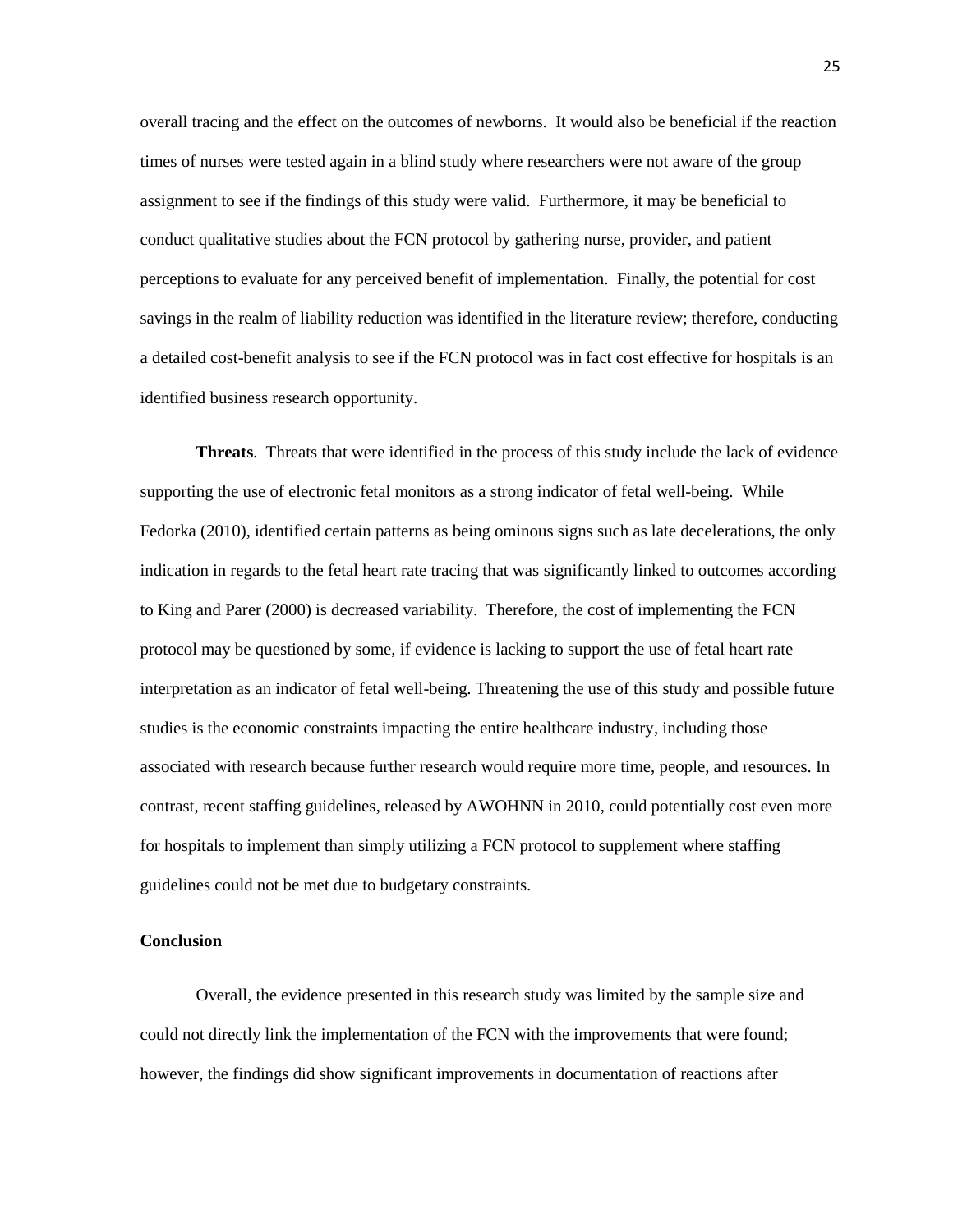overall tracing and the effect on the outcomes of newborns. It would also be beneficial if the reaction times of nurses were tested again in a blind study where researchers were not aware of the group assignment to see if the findings of this study were valid. Furthermore, it may be beneficial to conduct qualitative studies about the FCN protocol by gathering nurse, provider, and patient perceptions to evaluate for any perceived benefit of implementation. Finally, the potential for cost savings in the realm of liability reduction was identified in the literature review; therefore, conducting a detailed cost-benefit analysis to see if the FCN protocol was in fact cost effective for hospitals is an identified business research opportunity.

**Threats**. Threats that were identified in the process of this study include the lack of evidence supporting the use of electronic fetal monitors as a strong indicator of fetal well-being. While Fedorka (2010), identified certain patterns as being ominous signs such as late decelerations, the only indication in regards to the fetal heart rate tracing that was significantly linked to outcomes according to King and Parer (2000) is decreased variability. Therefore, the cost of implementing the FCN protocol may be questioned by some, if evidence is lacking to support the use of fetal heart rate interpretation as an indicator of fetal well-being. Threatening the use of this study and possible future studies is the economic constraints impacting the entire healthcare industry, including those associated with research because further research would require more time, people, and resources. In contrast, recent staffing guidelines, released by AWOHNN in 2010, could potentially cost even more for hospitals to implement than simply utilizing a FCN protocol to supplement where staffing guidelines could not be met due to budgetary constraints.

#### **Conclusion**

Overall, the evidence presented in this research study was limited by the sample size and could not directly link the implementation of the FCN with the improvements that were found; however, the findings did show significant improvements in documentation of reactions after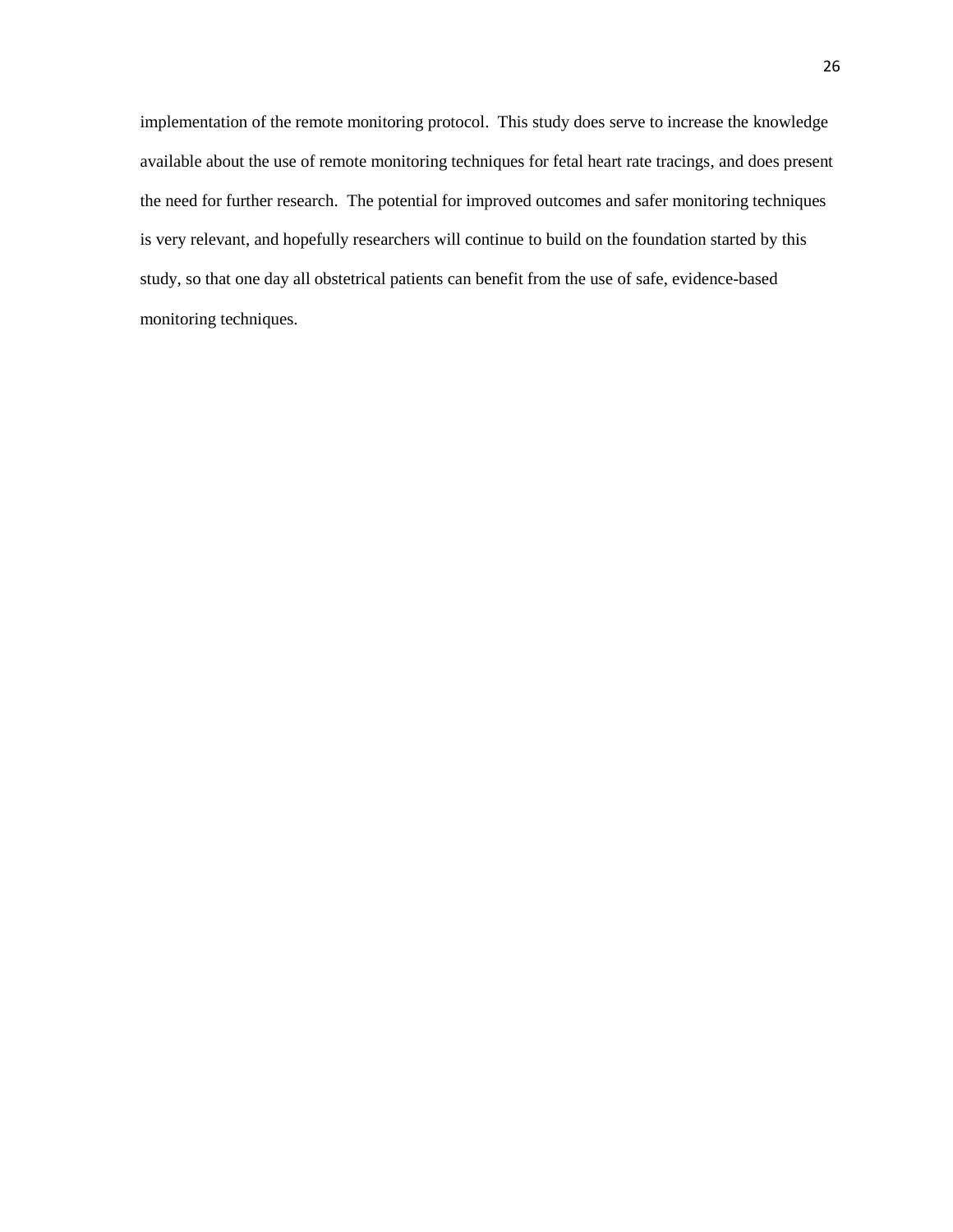implementation of the remote monitoring protocol. This study does serve to increase the knowledge available about the use of remote monitoring techniques for fetal heart rate tracings, and does present the need for further research. The potential for improved outcomes and safer monitoring techniques is very relevant, and hopefully researchers will continue to build on the foundation started by this study, so that one day all obstetrical patients can benefit from the use of safe, evidence-based monitoring techniques.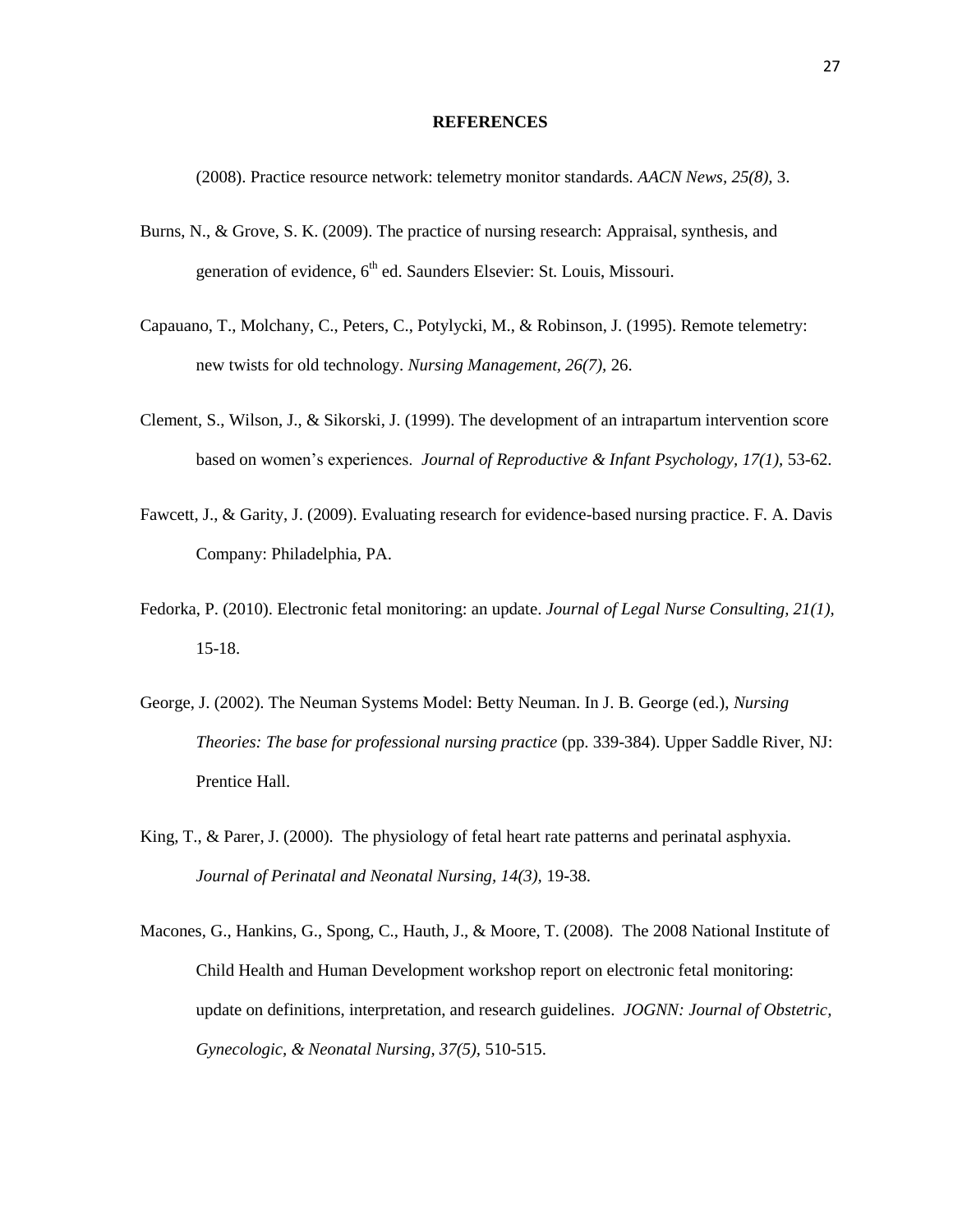#### **REFERENCES**

(2008). Practice resource network: telemetry monitor standards. *AACN News, 25(8),* 3.

- Burns, N., & Grove, S. K. (2009). The practice of nursing research: Appraisal, synthesis, and generation of evidence,  $6<sup>th</sup>$  ed. Saunders Elsevier: St. Louis, Missouri.
- Capauano, T., Molchany, C., Peters, C., Potylycki, M., & Robinson, J. (1995). Remote telemetry: new twists for old technology. *Nursing Management, 26(7),* 26.
- Clement, S., Wilson, J., & Sikorski, J. (1999). The development of an intrapartum intervention score based on women's experiences. *Journal of Reproductive & Infant Psychology, 17(1),* 53-62.
- Fawcett, J., & Garity, J. (2009). Evaluating research for evidence-based nursing practice. F. A. Davis Company: Philadelphia, PA.
- Fedorka, P. (2010). Electronic fetal monitoring: an update. *Journal of Legal Nurse Consulting, 21(1),* 15-18.
- George, J. (2002). The Neuman Systems Model: Betty Neuman. In J. B. George (ed.), *Nursing Theories: The base for professional nursing practice* (pp. 339-384). Upper Saddle River, NJ: Prentice Hall.
- King, T., & Parer, J. (2000). The physiology of fetal heart rate patterns and perinatal asphyxia. *Journal of Perinatal and Neonatal Nursing, 14(3),* 19-38.
- Macones, G., Hankins, G., Spong, C., Hauth, J., & Moore, T. (2008). The 2008 National Institute of Child Health and Human Development workshop report on electronic fetal monitoring: update on definitions, interpretation, and research guidelines. *JOGNN: Journal of Obstetric, Gynecologic, & Neonatal Nursing, 37(5),* 510-515.